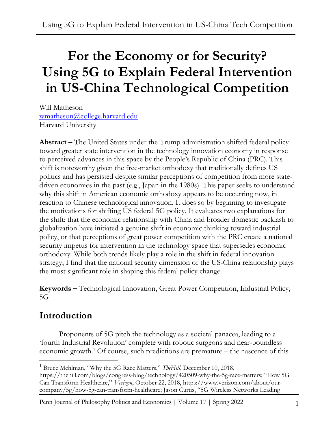# **For the Economy or for Security? Using 5G to Explain Federal Intervention in US-China Technological Competition**

Will Matheson [wmatheson@college.harvard.edu](mailto:wmatheson@college.harvard.edu) Harvard University

**Abstract –** The United States under the Trump administration shifted federal policy toward greater state intervention in the technology innovation economy in response to perceived advances in this space by the People's Republic of China (PRC). This shift is noteworthy given the free-market orthodoxy that traditionally defines US politics and has persisted despite similar perceptions of competition from more statedriven economies in the past (e.g., Japan in the 1980s). This paper seeks to understand why this shift in American economic orthodoxy appears to be occurring now, in reaction to Chinese technological innovation. It does so by beginning to investigate the motivations for shifting US federal 5G policy. It evaluates two explanations for the shift: that the economic relationship with China and broader domestic backlash to globalization have initiated a genuine shift in economic thinking toward industrial policy, or that perceptions of great power competition with the PRC create a national security impetus for intervention in the technology space that supersedes economic orthodoxy. While both trends likely play a role in the shift in federal innovation strategy, I find that the national security dimension of the US-China relationship plays the most significant role in shaping this federal policy change.

**Keywords –** Technological Innovation, Great Power Competition, Industrial Policy,  $5G$ 

# **Introduction**

Proponents of 5G pitch the technology as a societal panacea, leading to a 'fourth Industrial Revolution' complete with robotic surgeons and near-boundless economic growth.<sup>1</sup> Of course, such predictions are premature – the nascence of this

Penn Journal of Philosophy Politics and Economics | Volume 17 | Spring 2022 1

<sup>&</sup>lt;sup>1</sup> Bruce Mehlman, "Why the 5G Race Matters," *TheHill*, December 10, 2018,

https://thehill.com/blogs/congress-blog/technology/420509-why-the-5g-race-matters; "How 5G Can Transform Healthcare," *Verizon*, October 22, 2018, https://www.verizon.com/about/ourcompany/5g/how-5g-can-transform-healthcare; Jason Curtis, "5G Wireless Networks Leading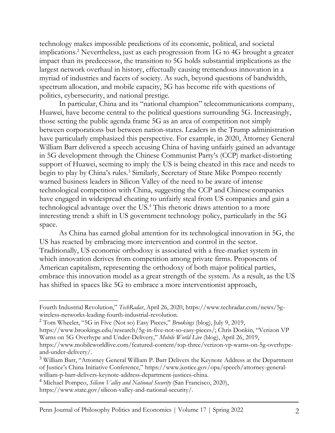technology makes impossible predictions of its economic, political, and societal implications.<sup>2</sup> Nevertheless, just as each progression from 1G to 4G brought a greater impact than its predecessor, the transition to 5G holds substantial implications as the largest network overhaul in history, effectually causing tremendous innovation in a myriad of industries and facets of society. As such, beyond questions of bandwidth, spectrum allocation, and mobile capacity, 5G has become rife with questions of politics, cybersecurity, and national prestige.

In particular, China and its "national champion" telecommunications company, Huawei, have become central to the political questions surrounding 5G. Increasingly, those setting the public agenda frame 5G as an area of competition not simply between corporations but between nation-states. Leaders in the Trump administration have particularly emphasized this perspective. For example, in 2020, Attorney General William Barr delivered a speech accusing China of having unfairly gained an advantage in 5G development through the Chinese Communist Party's (CCP) market-distorting support of Huawei, seeming to imply the US is being cheated in this race and needs to begin to play by China's rules.<sup>3</sup> Similarly, Secretary of State Mike Pompeo recently warned business leaders in Silicon Valley of the need to be aware of intense technological competition with China, suggesting the CCP and Chinese companies have engaged in widespread cheating to unfairly steal from US companies and gain a technological advantage over the US.<sup>4</sup> This rhetoric draws attention to a more interesting trend: a shift in US government technology policy, particularly in the 5G space.

As China has earned global attention for its technological innovation in 5G, the US has reacted by embracing more intervention and control in the sector. Traditionally, US economic orthodoxy is associated with a free-market system in which innovation derives from competition among private firms. Proponents of American capitalism, representing the orthodoxy of both major political parties, embrace this innovation model as a great strength of the system. As a result, as the US has shifted in spaces like 5G to embrace a more interventionist approach,

Fourth Industrial Revolution," *TechRadar*, April 26, 2020, https://www.techradar.com/news/5gwireless-networks-leading-fourth-industrial-revolution.

<sup>2</sup> Tom Wheeler, "5G in Five (Not so) Easy Pieces," *Brookings* (blog), July 9, 2019,

https://www.brookings.edu/research/5g-in-five-not-so-easy-pieces/; Chris Donkin, "Verizon VP Warns on 5G Overhype and Under-Delivery," *Mobile World Live* (blog), April 26, 2019,

https://www.mobileworldlive.com/featured-content/top-three/verizon-vp-warns-on-5g-overhypeand-under-delivery/.

<sup>&</sup>lt;sup>3</sup> William Barr, "Attorney General William P. Barr Delivers the Keynote Address at the Department of Justice's China Initiative Conference," https://www.justice.gov/opa/speech/attorney-generalwilliam-p-barr-delivers-keynote-address-department-justices-china.

<sup>4</sup> Michael Pompeo, *Silicon Valley and National Security* (San Francisco, 2020),

https://www.state.gov/silicon-valley-and-national-security/.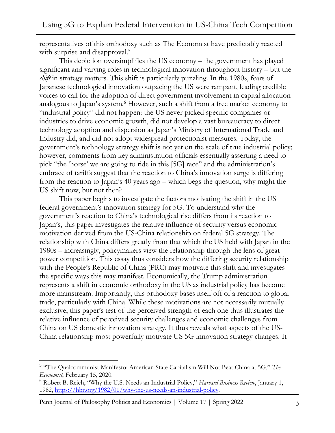representatives of this orthodoxy such as The Economist have predictably reacted with surprise and disapproval.<sup>5</sup>

This depiction oversimplifies the US economy – the government has played significant and varying roles in technological innovation throughout history – but the *shift* in strategy matters. This shift is particularly puzzling. In the 1980s, fears of Japanese technological innovation outpacing the US were rampant, leading credible voices to call for the adoption of direct government involvement in capital allocation analogous to Japan's system.<sup>6</sup> However, such a shift from a free market economy to "industrial policy" did not happen: the US never picked specific companies or industries to drive economic growth, did not develop a vast bureaucracy to direct technology adoption and dispersion as Japan's Ministry of International Trade and Industry did, and did not adopt widespread protectionist measures. Today, the government's technology strategy shift is not yet on the scale of true industrial policy; however, comments from key administration officials essentially asserting a need to pick "the 'horse' we are going to ride in this [5G] race" and the administration's embrace of tariffs suggest that the reaction to China's innovation surge is differing from the reaction to Japan's 40 years ago – which begs the question, why might the US shift now, but not then?

This paper begins to investigate the factors motivating the shift in the US federal government's innovation strategy for 5G. To understand why the government's reaction to China's technological rise differs from its reaction to Japan's, this paper investigates the relative influence of security versus economic motivation derived from the US-China relationship on federal 5G strategy. The relationship with China differs greatly from that which the US held with Japan in the 1980s – increasingly, policymakers view the relationship through the lens of great power competition. This essay thus considers how the differing security relationship with the People's Republic of China (PRC) may motivate this shift and investigates the specific ways this may manifest. Economically, the Trump administration represents a shift in economic orthodoxy in the US as industrial policy has become more mainstream. Importantly, this orthodoxy bases itself off of a reaction to global trade, particularly with China. While these motivations are not necessarily mutually exclusive, this paper's test of the perceived strength of each one thus illustrates the relative influence of perceived security challenges and economic challenges from China on US domestic innovation strategy. It thus reveals what aspects of the US-China relationship most powerfully motivate US 5G innovation strategy changes. It

<sup>5</sup> "The Qualcommunist Manifesto: American State Capitalism Will Not Beat China at 5G," *The Economist*, February 15, 2020.

<sup>6</sup> Robert B. Reich, "Why the U.S. Needs an Industrial Policy," *Harvard Business Review*, January 1, 1982, [https://hbr.org/1982/01/why-the-us-needs-an-industrial-policy.](https://hbr.org/1982/01/why-the-us-needs-an-industrial-policy)

Penn Journal of Philosophy Politics and Economics | Volume 17 | Spring 2022 3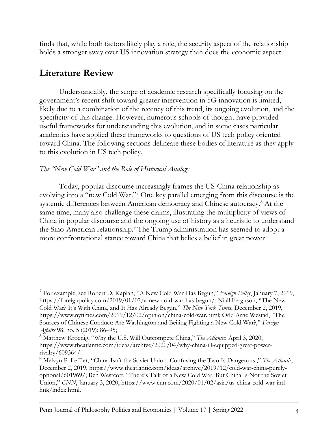finds that, while both factors likely play a role, the security aspect of the relationship holds a stronger sway over US innovation strategy than does the economic aspect.

## **Literature Review**

Understandably, the scope of academic research specifically focusing on the government's recent shift toward greater intervention in 5G innovation is limited, likely due to a combination of the recency of this trend, its ongoing evolution, and the specificity of this change. However, numerous schools of thought have provided useful frameworks for understanding this evolution, and in some cases particular academics have applied these frameworks to questions of US tech policy oriented toward China. The following sections delineate these bodies of literature as they apply to this evolution in US tech policy.

#### *The "New Cold War" and the Role of Historical Analogy*

Today, popular discourse increasingly frames the US-China relationship as evolving into a "new Cold War."<sup>7</sup> One key parallel emerging from this discourse is the systemic differences between American democracy and Chinese autocracy.<sup>8</sup> At the same time, many also challenge these claims, illustrating the multiplicity of views of China in popular discourse and the ongoing use of history as a heuristic to understand the Sino-American relationship.<sup>9</sup> The Trump administration has seemed to adopt a more confrontational stance toward China that belies a belief in great power

<sup>7</sup> For example, see Robert D. Kaplan, "A New Cold War Has Begun," *Foreign Policy*, January 7, 2019, https://foreignpolicy.com/2019/01/07/a-new-cold-war-has-begun/; Niall Ferguson, "The New Cold War? It's With China, and It Has Already Begun," *The New York Times*, December 2, 2019, https://www.nytimes.com/2019/12/02/opinion/china-cold-war.html; Odd Arne Westad, "The Sources of Chinese Conduct: Are Washington and Beijing Fighting a New Cold War?," *Foreign Affairs* 98, no. 5 (2019): 86–95;

<sup>8</sup> Matthew Kroenig, "Why the U.S. Will Outcompete China," *The Atlantic*, April 3, 2020, https://www.theatlantic.com/ideas/archive/2020/04/why-china-ill-equipped-great-powerrivalry/609364/.

<sup>9</sup> Melvyn P. Leffler, "China Isn't the Soviet Union. Confusing the Two Is Dangerous.," *The Atlantic*, December 2, 2019, https://www.theatlantic.com/ideas/archive/2019/12/cold-war-china-purelyoptional/601969/; Ben Westcott, "There's Talk of a New Cold War. But China Is Not the Soviet Union," *CNN*, January 3, 2020, https://www.cnn.com/2020/01/02/asia/us-china-cold-war-intlhnk/index.html.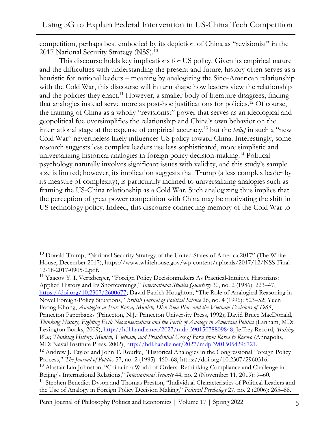competition, perhaps best embodied by its depiction of China as "revisionist" in the 2017 National Security Strategy (NSS).<sup>10</sup>

This discourse holds key implications for US policy. Given its empirical nature and the difficulties with understanding the present and future, history often serves as a heuristic for national leaders – meaning by analogizing the Sino-American relationship with the Cold War, this discourse will in turn shape how leaders view the relationship and the policies they enact.<sup>11</sup> However, a smaller body of literature disagrees, finding that analogies instead serve more as post-hoc justifications for policies.<sup>12</sup> Of course, the framing of China as a wholly "revisionist" power that serves as an ideological and geopolitical foe oversimplifies the relationship and China's own behavior on the international stage at the expense of empirical accuracy,<sup>13</sup> but the *belief* in such a "new Cold War" nevertheless likely influences US policy toward China. Interestingly, some research suggests less complex leaders use less sophisticated, more simplistic and universalizing historical analogies in foreign policy decision-making.<sup>14</sup> Political psychology naturally involves significant issues with validity, and this study's sample size is limited; however, its implication suggests that Trump (a less complex leader by its measure of complexity), is particularly inclined to universalizing analogies such as framing the US-China relationship as a Cold War. Such analogizing thus implies that the perception of great power competition with China may be motivating the shift in US technology policy. Indeed, this discourse connecting memory of the Cold War to

<sup>11</sup> Yaacov Y. I. Vertzberger, "Foreign Policy Decisionmakers As Practical-Intuitive Historians: Applied History and Its Shortcomings," *International Studies Quarterly* 30, no. 2 (1986): 223–47, <https://doi.org/10.2307/2600677>; David Patrick Houghton, "The Role of Analogical Reasoning in Novel Foreign-Policy Situations," *British Journal of Political Science* 26, no. 4 (1996): 523–52; Yuen Foong Khong, *Analogies at Ear: Korea, Munich, Dien Bien Phu, and the Vietnam Decisions of 1965*, Princeton Paperbacks (Princeton, N.J.: Princeton University Press, 1992); David Bruce MacDonald, *Thinking History, Fighting Evil: Neoconservatives and the Perils of Analogy in American Politics* (Lanham, MD: Lexington Books, 2009), [http://hdl.handle.net/2027/mdp.39015078809848;](http://hdl.handle.net/2027/mdp.39015078809848) Jeffrey Record, *Making War, Thinking History: Munich, Vietnam, and Presidential Uses of Force from Korea to Kosovo* (Annapolis, MD: Naval Institute Press, 2002), [http://hdl.handle.net/2027/mdp.39015054296721.](http://hdl.handle.net/2027/mdp.39015054296721)

Penn Journal of Philosophy Politics and Economics | Volume 17 | Spring 2022 5

 $10$  Donald Trump, "National Security Strategy of the United States of America 2017" (The White House, December 2017), https://www.whitehouse.gov/wp-content/uploads/2017/12/NSS-Final-12-18-2017-0905-2.pdf.

<sup>&</sup>lt;sup>12</sup> Andrew J. Taylor and John T. Rourke, "Historical Analogies in the Congressional Foreign Policy Process," *The Journal of Politics* 57, no. 2 (1995): 460–68, https://doi.org/10.2307/2960316. <sup>13</sup> Alastair Iain Johnston, "China in a World of Orders: Rethinking Compliance and Challenge in Beijing's International Relations," *International Security* 44, no. 2 (November 11, 2019): 9–60. <sup>14</sup> Stephen Benedict Dyson and Thomas Preston, "Individual Characteristics of Political Leaders and

the Use of Analogy in Foreign Policy Decision Making," *Political Psychology* 27, no. 2 (2006): 265–88.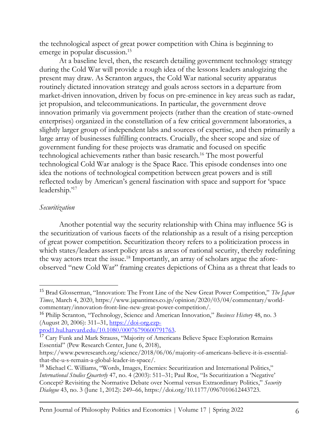the technological aspect of great power competition with China is beginning to emerge in popular discussion.<sup>15</sup>

At a baseline level, then, the research detailing government technology strategy during the Cold War will provide a rough idea of the lessons leaders analogizing the present may draw. As Scranton argues, the Cold War national security apparatus routinely dictated innovation strategy and goals across sectors in a departure from market-driven innovation, driven by focus on pre-eminence in key areas such as radar, jet propulsion, and telecommunications. In particular, the government drove innovation primarily via government projects (rather than the creation of state-owned enterprises) organized in the constellation of a few critical government laboratories, a slightly larger group of independent labs and sources of expertise, and then primarily a large array of businesses fulfilling contracts. Crucially, the sheer scope and size of government funding for these projects was dramatic and focused on specific technological achievements rather than basic research.<sup>16</sup> The most powerful technological Cold War analogy is the Space Race. This episode condenses into one idea the notions of technological competition between great powers and is still reflected today by American's general fascination with space and support for 'space leadership.'<sup>17</sup>

#### *Securitization*

Another potential way the security relationship with China may influence 5G is the securitization of various facets of the relationship as a result of a rising perception of great power competition. Securitization theory refers to a politicization process in which states/leaders assert policy areas as areas of national security, thereby redefining the way actors treat the issue.<sup>18</sup> Importantly, an array of scholars argue the aforeobserved "new Cold War" framing creates depictions of China as a threat that leads to

<sup>15</sup> Brad Glosserman, "Innovation: The Front Line of the New Great Power Competition," *The Japan Times*, March 4, 2020, https://www.japantimes.co.jp/opinion/2020/03/04/commentary/worldcommentary/innovation-front-line-new-great-power-competition/.

<sup>16</sup> Philip Scranton, "Technology, Science and American Innovation," *Business History* 48, no. 3 (August 20, 2006): 311–31, [https://doi-org.ezp-](https://doi-org.ezp-prod1.hul.harvard.edu/10.1080/00076790600791763)

[prod1.hul.harvard.edu/10.1080/00076790600791763.](https://doi-org.ezp-prod1.hul.harvard.edu/10.1080/00076790600791763)

<sup>&</sup>lt;sup>17</sup> Cary Funk and Mark Strauss, "Majority of Americans Believe Space Exploration Remains Essential" (Pew Research Center, June 6, 2018),

https://www.pewresearch.org/science/2018/06/06/majority-of-americans-believe-it-is-essentialthat-the-u-s-remain-a-global-leader-in-space/.

<sup>&</sup>lt;sup>18</sup> Michael C. Williams, "Words, Images, Enemies: Securitization and International Politics," *International Studies Quarterly* 47, no. 4 (2003): 511–31; Paul Roe, "Is Securitization a 'Negative' Concept? Revisiting the Normative Debate over Normal versus Extraordinary Politics," *Security Dialogue* 43, no. 3 (June 1, 2012): 249–66, https://doi.org/10.1177/0967010612443723.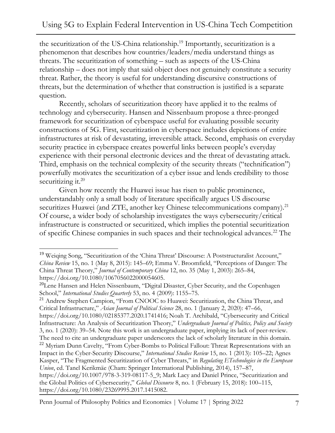the securitization of the US-China relationship.<sup>19</sup> Importantly, securitization is a phenomenon that describes how countries/leaders/media understand things as threats. The securitization of something – such as aspects of the US-China relationship – does not imply that said object does not genuinely constitute a security threat. Rather, the theory is useful for understanding discursive constructions of threats, but the determination of whether that construction is justified is a separate question.

Recently, scholars of securitization theory have applied it to the realms of technology and cybersecurity. Hansen and Nissenbaum propose a three-pronged framework for securitization of cyberspace useful for evaluating possible security constructions of 5G. First, securitization in cyberspace includes depictions of entire infrastructures at risk of devastating, irreversible attack. Second, emphasis on everyday security practice in cyberspace creates powerful links between people's everyday experience with their personal electronic devices and the threat of devastating attack. Third, emphasis on the technical complexity of the security threats ("technification") powerfully motivates the securitization of a cyber issue and lends credibility to those securitizing it.<sup>20</sup>

Given how recently the Huawei issue has risen to public prominence, understandably only a small body of literature specifically argues US discourse securitizes Huawei (and ZTE, another key Chinese telecommunications company).<sup>21</sup> Of course, a wider body of scholarship investigates the ways cybersecurity/critical infrastructure is constructed or securitized, which implies the potential securitization of specific Chinese companies in such spaces and their technological advances.<sup>22</sup> The

<sup>21</sup> Andrew Stephen Campion, "From CNOOC to Huawei: Securitization, the China Threat, and Critical Infrastructure," *Asian Journal of Political Science* 28, no. 1 (January 2, 2020): 47–66, https://doi.org/10.1080/02185377.2020.1741416; Noah T. Archibald, "Cybersecurity and Critical Infrastructure: An Analysis of Securitization Theory," *Undergraduate Journal of Politics, Policy and Society* 3, no. 1 (2020): 39–54. Note this work is an undergraduate paper, implying its lack of peer-review. The need to cite an undergraduate paper underscores the lack of scholarly literature in this domain. <sup>22</sup> Myriam Dunn Cavelty, "From Cyber-Bombs to Political Fallout: Threat Representations with an Impact in the Cyber-Security Discourse," *International Studies Review* 15, no. 1 (2013): 105–22; Agnes Kasper, "The Fragmented Securitization of Cyber Threats," in *Regulating ETechnologies in the European Union*, ed. Tanel Kerikmäe (Cham: Springer International Publishing, 2014), 157–87, https://doi.org/10.1007/978-3-319-08117-5\_9; Mark Lacy and Daniel Prince, "Securitization and

the Global Politics of Cybersecurity," *Global Discourse* 8, no. 1 (February 15, 2018): 100–115, https://doi.org/10.1080/23269995.2017.1415082.

<sup>&</sup>lt;sup>19</sup> Weiging Song, "Securitization of the 'China Threat' Discourse: A Poststructuralist Account," *China Review* 15, no. 1 (May 8, 2015): 145–69; Emma V. Broomfield, "Perceptions of Danger: The China Threat Theory," *Journal of Contemporary China* 12, no. 35 (May 1, 2003): 265–84, https://doi.org/10.1080/1067056022000054605.

<sup>&</sup>lt;sup>20</sup>Lene Hansen and Helen Nissenbaum, "Digital Disaster, Cyber Security, and the Copenhagen School," *International Studies Quarterly* 53, no. 4 (2009): 1155–75.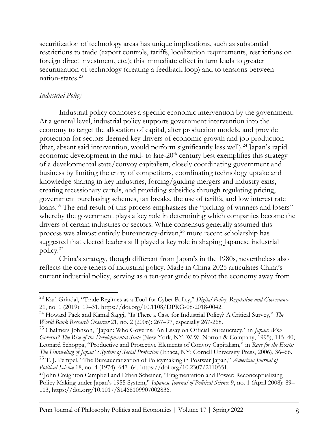securitization of technology areas has unique implications, such as substantial restrictions to trade (export controls, tariffs, localization requirements, restrictions on foreign direct investment, etc.); this immediate effect in turn leads to greater securitization of technology (creating a feedback loop) and to tensions between nation-states.<sup>23</sup>

### *Industrial Policy*

Industrial policy connotes a specific economic intervention by the government. At a general level, industrial policy supports government intervention into the economy to target the allocation of capital, alter production models, and provide protection for sectors deemed key drivers of economic growth and job production (that, absent said intervention, would perform significantly less well).<sup>24</sup> Japan's rapid economic development in the mid- to late-20<sup>th</sup> century best exemplifies this strategy of a developmental state/convoy capitalism, closely coordinating government and business by limiting the entry of competitors, coordinating technology uptake and knowledge sharing in key industries, forcing/guiding mergers and industry exits, creating recessionary cartels, and providing subsidies through regulating pricing, government purchasing schemes, tax breaks, the use of tariffs, and low interest rate loans.<sup>25</sup> The end result of this process emphasizes the "picking of winners and losers" whereby the government plays a key role in determining which companies become the drivers of certain industries or sectors. While consensus generally assumed this process was almost entirely bureaucracy-driven,<sup>26</sup> more recent scholarship has suggested that elected leaders still played a key role in shaping Japanese industrial policy.<sup>27</sup>

China's strategy, though different from Japan's in the 1980s, nevertheless also reflects the core tenets of industrial policy. Made in China 2025 articulates China's current industrial policy, serving as a ten-year guide to pivot the economy away from

<sup>23</sup> Karl Grindal, "Trade Regimes as a Tool for Cyber Policy," *Digital Policy, Regulation and Governance* 21, no. 1 (2019): 19–31, https://doi.org/10.1108/DPRG-08-2018-0042.

<sup>24</sup> Howard Pack and Kamal Saggi, "Is There a Case for Industrial Policy? A Critical Survey," *The World Bank Research Observer* 21, no. 2 (2006): 267–97, especially 267-268.

<sup>25</sup> Chalmers Johnson, "Japan: Who Governs? An Essay on Official Bureaucracy," in *Japan: Who Governs? The Rise of the Developmental State* (New York, NY: W.W. Norton & Company, 1995), 115–40; Leonard Schoppa, "Productive and Protective Elements of Convoy Capitalism," in *Race for the Exits: The Unraveling of Japan' s System of Social Protection* (Ithaca, NY: Cornell University Press, 2006), 36–66. <sup>26</sup> T. J. Pempel, "The Bureaucratization of Policymaking in Postwar Japan," *American Journal of Political Science* 18, no. 4 (1974): 647–64, https://doi.org/10.2307/2110551.

<sup>&</sup>lt;sup>27</sup>John Creighton Campbell and Ethan Scheiner, "Fragmentation and Power: Reconceptualizing Policy Making under Japan's 1955 System," *Japanese Journal of Political Science* 9, no. 1 (April 2008): 89– 113, https://doi.org/10.1017/S1468109907002836.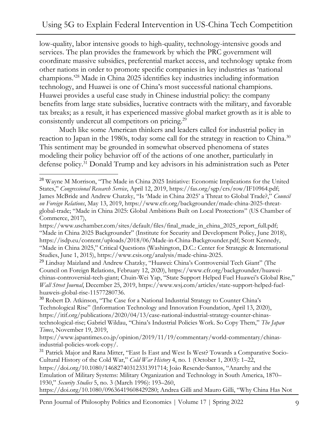low-quality, labor intensive goods to high-quality, technology-intensive goods and services. The plan provides the framework by which the PRC government will coordinate massive subsidies, preferential market access, and technology uptake from other nations in order to promote specific companies in key industries as 'national champions.'<sup>28</sup> Made in China 2025 identifies key industries including information technology, and Huawei is one of China's most successful national champions. Huawei provides a useful case study in Chinese industrial policy: the company benefits from large state subsidies, lucrative contracts with the military, and favorable tax breaks; as a result, it has experienced massive global market growth as it is able to consistently undercut all competitors on pricing.<sup>29</sup>

Much like some American thinkers and leaders called for industrial policy in reaction to Japan in the 1980s, today some call for the strategy in reaction to China.<sup>30</sup> This sentiment may be grounded in somewhat observed phenomena of states modeling their policy behavior off of the actions of one another, particularly in defense policy.<sup>31</sup> Donald Trump and key advisors in his administration such as Peter

<sup>&</sup>lt;sup>28</sup> Wayne M Morrison, "The Made in China 2025 Initiative: Economic Implications for the United States," *Congressional Research Service*, April 12, 2019, https://fas.org/sgp/crs/row/IF10964.pdf; James McBride and Andrew Chatzky, "Is 'Made in China 2025' a Threat to Global Trade?," *Council on Foreign Relations*, May 13, 2019, https://www.cfr.org/backgrounder/made-china-2025-threatglobal-trade; "Made in China 2025: Global Ambitions Built on Local Protections" (US Chamber of Commerce, 2017),

https://www.uschamber.com/sites/default/files/final\_made\_in\_china\_2025\_report\_full.pdf; "Made in China 2025 Backgrounder" (Institute for Security and Development Policy, June 2018), https://isdp.eu/content/uploads/2018/06/Made-in-China-Backgrounder.pdf; Scott Kennedy, "Made in China 2025," Critical Questions (Washington, D.C.: Center for Strategic & International Studies, June 1, 2015), https://www.csis.org/analysis/made-china-2025.

<sup>29</sup> Lindsay Maizland and Andrew Chatzky, "Huawei: China's Controversial Tech Giant" (The Council on Foreign Relations, February 12, 2020), https://www.cfr.org/backgrounder/huaweichinas-controversial-tech-giant; Chuin-Wei Yap, "State Support Helped Fuel Huawei's Global Rise," *Wall Street Journal*, December 25, 2019, https://www.wsj.com/articles/state-support-helped-fuelhuaweis-global-rise-11577280736.

<sup>&</sup>lt;sup>30</sup> Robert D. Atkinson, "The Case for a National Industrial Strategy to Counter China's Technological Rise" (Information Technology and Innovation Foundation, April 13, 2020), https://itif.org/publications/2020/04/13/case-national-industrial-strategy-counter-chinastechnological-rise; Gabriel Wildau, "China's Industrial Policies Work. So Copy Them," *The Japan Times*, November 19, 2019,

https://www.japantimes.co.jp/opinion/2019/11/19/commentary/world-commentary/chinasindustrial-policies-work-copy/.

<sup>&</sup>lt;sup>31</sup> Patrick Major and Rana Mitter, "East Is East and West Is West? Towards a Comparative Socio-Cultural History of the Cold War," *Cold War History* 4, no. 1 (October 1, 2003): 1–22, https://doi.org/10.1080/14682740312331391714; Joâo Resende‐Santos, "Anarchy and the Emulation of Military Systems: Military Organization and Technology in South America, 1870– 1930," *Security Studies* 5, no. 3 (March 1996): 193–260, https://doi.org/10.1080/09636419608429280; Andrea Gilli and Mauro Gilli, "Why China Has Not

Penn Journal of Philosophy Politics and Economics | Volume 17 | Spring 2022 9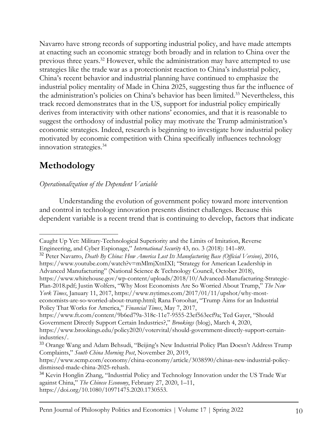Navarro have strong records of supporting industrial policy, and have made attempts at enacting such an economic strategy both broadly and in relation to China over the previous three years.<sup>32</sup> However, while the administration may have attempted to use strategies like the trade war as a protectionist reaction to China's industrial policy, China's recent behavior and industrial planning have continued to emphasize the industrial policy mentality of Made in China 2025, suggesting thus far the influence of the administration's policies on China's behavior has been limited.<sup>33</sup> Nevertheless, this track record demonstrates that in the US, support for industrial policy empirically derives from interactivity with other nations' economies, and that it is reasonable to suggest the orthodoxy of industrial policy may motivate the Trump administration's economic strategies. Indeed, research is beginning to investigate how industrial policy motivated by economic competition with China specifically influences technology innovation strategies.<sup>34</sup>

# **Methodology**

### *Operationalization of the Dependent Variable*

Understanding the evolution of government policy toward more intervention and control in technology innovation presents distinct challenges. Because this dependent variable is a recent trend that is continuing to develop, factors that indicate

<sup>32</sup> Peter Navarro, *Death By China: How America Lost Its Manufacturing Base (Official Version)*, 2016, https://www.youtube.com/watch?v=mMlmjXtnIXI; "Strategy for American Leadership in Advanced Manufacturing" (National Science & Technology Council, October 2018), https://www.whitehouse.gov/wp-content/uploads/2018/10/Advanced-Manufacturing-Strategic-Plan-2018.pdf; Justin Wolfers, "Why Most Economists Are So Worried About Trump," *The New York Times*, January 11, 2017, https://www.nytimes.com/2017/01/11/upshot/why-mosteconomists-are-so-worried-about-trump.html; Rana Foroohar, "Trump Aims for an Industrial

Policy That Works for America," *Financial Times*, May 7, 2017,

Caught Up Yet: Military-Technological Superiority and the Limits of Imitation, Reverse Engineering, and Cyber Espionage," *International Security* 43, no. 3 (2018): 141–89.

https://www.ft.com/content/9b6ed79a-318c-11e7-9555-23ef563ecf9a; Ted Gayer, "Should Government Directly Support Certain Industries?," *Brookings* (blog), March 4, 2020,

https://www.brookings.edu/policy2020/votervital/should-government-directly-support-certainindustries/.

<sup>&</sup>lt;sup>33</sup> Orange Wang and Adam Behsudi, "Beijing's New Industrial Policy Plan Doesn't Address Trump Complaints," *South China Morning Post*, November 20, 2019,

https://www.scmp.com/economy/china-economy/article/3038590/chinas-new-industrial-policydismissed-made-china-2025-rehash.

<sup>&</sup>lt;sup>34</sup> Kevin Honglin Zhang, "Industrial Policy and Technology Innovation under the US Trade War against China," *The Chinese Economy*, February 27, 2020, 1–11, https://doi.org/10.1080/10971475.2020.1730553.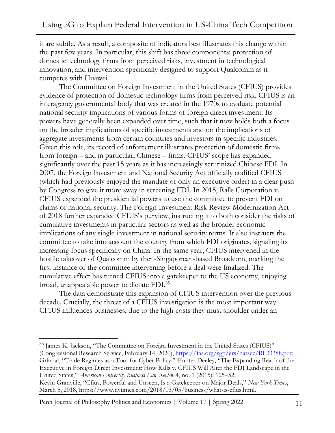it are subtle. As a result, a composite of indicators best illustrates this change within the past few years. In particular, this shift has three components: protection of domestic technology firms from perceived risks, investment in technological innovation, and intervention specifically designed to support Qualcomm as it competes with Huawei.

The Committee on Foreign Investment in the United States (CFIUS) provides evidence of protection of domestic technology firms from perceived risk. CFIUS is an interagency governmental body that was created in the 1970s to evaluate potential national security implications of various forms of foreign direct investment. Its powers have generally been expanded over time, such that it now holds both a focus on the broader implications of specific investments and on the implications of aggregate investments from certain countries and investors in specific industries. Given this role, its record of enforcement illustrates protection of domestic firms from foreign – and in particular, Chinese – firms. CFIUS' scope has expanded significantly over the past 15 years as it has increasingly scrutinized Chinese FDI. In 2007, the Foreign Investment and National Security Act officially codified CFIUS (which had previously enjoyed the mandate of only an executive order) in a clear push by Congress to give it more sway in screening FDI. In 2015, Ralls Corporation v. CFIUS expanded the presidential powers to use the committee to prevent FDI on claims of national security. The Foreign Investment Risk Review Modernization Act of 2018 further expanded CFIUS's purview, instructing it to both consider the risks of cumulative investments in particular sectors as well as the broader economic implications of any single investment in national security terms. It also instructs the committee to take into account the country from which FDI originates, signaling its increasing focus specifically on China. In the same year, CFIUS intervened in the hostile takeover of Qualcomm by then-Singaporean-based Broadcom, marking the first instance of the committee intervening before a deal were finalized. The cumulative effect has turned CFIUS into a gatekeeper to the US economy, enjoying broad, unappealable power to dictate FDI.<sup>35</sup>

The data demonstrate this expansion of CFIUS intervention over the previous decade. Crucially, the threat of a CFIUS investigation is the most important way CFIUS influences businesses, due to the high costs they must shoulder under an

<sup>35</sup> James K. Jackson, "The Committee on Foreign Investment in the United States (CFIUS)" (Congressional Research Service, February 14, 2020), [https://fas.org/sgp/crs/natsec/RL33388.pdf;](https://fas.org/sgp/crs/natsec/RL33388.pdf) Grindal, "Trade Regimes as a Tool for Cyber Policy;" Hunter Deeley, "The Expanding Reach of the Executive in Foreign Direct Investment: How Ralls v. CFIUS Will Alter the FDI Landscape in the United States," *American University Business Law Review* 4, no. 1 (2015): 125–52; Kevin Granville, "Cfius, Powerful and Unseen, Is a Gatekeeper on Major Deals," *New York Times*, March 5, 2018, https://www.nytimes.com/2018/03/05/business/what-is-cfius.html.

Penn Journal of Philosophy Politics and Economics | Volume 17 | Spring 2022 11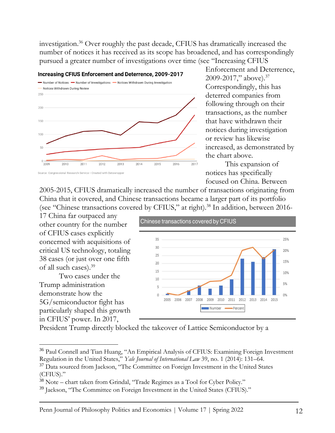investigation.<sup>36</sup> Over roughly the past decade, CFIUS has dramatically increased the number of notices it has received as its scope has broadened, and has correspondingly pursued a greater number of investigations over time (see "Increasing CFIUS



Enforcement and Deterrence, 2009-2017," above).<sup>37</sup> Correspondingly, this has deterred companies from following through on their transactions, as the number that have withdrawn their notices during investigation or review has likewise increased, as demonstrated by the chart above.

This expansion of notices has specifically focused on China. Between

2005-2015, CFIUS dramatically increased the number of transactions originating from China that it covered, and Chinese transactions became a larger part of its portfolio (see "Chinese transactions covered by CFIUS," at right).<sup>38</sup> In addition, between 2016-

17 China far outpaced any other country for the number of CFIUS cases explicitly concerned with acquisitions of critical US technology, totaling 38 cases (or just over one fifth of all such cases).<sup>39</sup>

Two cases under the Trump administration demonstrate how the 5G/semiconductor fight has particularly shaped this growth in CFIUS' power. In 2017,



President Trump directly blocked the takeover of Lattice Semiconductor by a

<sup>&</sup>lt;sup>36</sup> Paul Connell and Tian Huang, "An Empirical Analysis of CFIUS: Examining Foreign Investment Regulation in the United States," *Yale Journal of International Law* 39, no. 1 (2014): 131–64.

<sup>&</sup>lt;sup>37</sup> Data sourced from Jackson, "The Committee on Foreign Investment in the United States (CFIUS)."

<sup>&</sup>lt;sup>38</sup> Note – chart taken from Grindal, "Trade Regimes as a Tool for Cyber Policy."

<sup>&</sup>lt;sup>39</sup> Jackson, "The Committee on Foreign Investment in the United States (CFIUS)."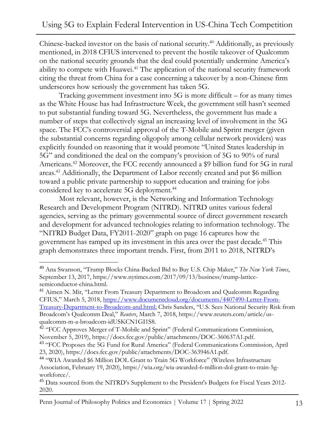Chinese-backed investor on the basis of national security.<sup>40</sup> Additionally, as previously mentioned, in 2018 CFIUS intervened to prevent the hostile takeover of Qualcomm on the national security grounds that the deal could potentially undermine America's ability to compete with Huawei.<sup>41</sup> The application of the national security framework citing the threat from China for a case concerning a takeover by a non-Chinese firm underscores how seriously the government has taken 5G.

Tracking government investment into 5G is more difficult – for as many times as the White House has had Infrastructure Week, the government still hasn't seemed to put substantial funding toward 5G. Nevertheless, the government has made a number of steps that collectively signal an increasing level of involvement in the 5G space. The FCC's controversial approval of the T-Mobile and Sprint merger (given the substantial concerns regarding oligopoly among cellular network providers) was explicitly founded on reasoning that it would promote "United States leadership in 5G" and conditioned the deal on the company's provision of 5G to 90% of rural Americans.<sup>42</sup> Moreover, the FCC recently announced a \$9 billion fund for 5G in rural areas.<sup>43</sup> Additionally, the Department of Labor recently created and put \$6 million toward a public private partnership to support education and training for jobs considered key to accelerate 5G deployment.<sup>44</sup>

Most relevant, however, is the Networking and Information Technology Research and Development Program (NITRD). NITRD unites various federal agencies, serving as the primary governmental source of direct government research and development for advanced technologies relating to information technology. The "NITRD Budget Data, FY2011-2020" graph on page 16 captures how the government has ramped up its investment in this area over the past decade.<sup>45</sup> This graph demonstrates three important trends. First, from 2011 to 2018, NITRD's

<sup>40</sup> Ana Swanson, "Trump Blocks China-Backed Bid to Buy U.S. Chip Maker," *The New York Times*, September 13, 2017, https://www.nytimes.com/2017/09/13/business/trump-latticesemiconductor-china.html.

<sup>&</sup>lt;sup>41</sup> Aimen N. Mir, "Letter From Treasury Department to Broadcom and Oualcomm Regarding CFIUS," March 5, 2018, [https://www.documentcloud.org/documents/4407490-Letter-From-](https://www.documentcloud.org/documents/4407490-Letter-From-Treasury-Department-to-Broadcom-and.html)[Treasury-Department-to-Broadcom-and.html](https://www.documentcloud.org/documents/4407490-Letter-From-Treasury-Department-to-Broadcom-and.html); Chris Sanders, "U.S. Sees National Security Risk from Broadcom's Qualcomm Deal," *Reuters*, March 7, 2018, https://www.reuters.com/article/usqualcomm-m-a-broadcom-idUSKCN1GI1S8.

<sup>&</sup>lt;sup>42</sup> "FCC Approves Merger of T-Mobile and Sprint" (Federal Communications Commission, November 5, 2019), https://docs.fcc.gov/public/attachments/DOC-360637A1.pdf.

<sup>&</sup>lt;sup>43</sup> "FCC Proposes the 5G Fund for Rural America" (Federal Communications Commission, April 23, 2020), https://docs.fcc.gov/public/attachments/DOC-363946A1.pdf.

<sup>44</sup> "WIA Awarded \$6 Million DOL Grant to Train 5G Workforce" (Wireless Infrastructure Association, February 19, 2020), https://wia.org/wia-awarded-6-million-dol-grant-to-train-5gworkforce/.

<sup>&</sup>lt;sup>45</sup> Data sourced from the NITRD's Supplement to the President's Budgets for Fiscal Years 2012-2020.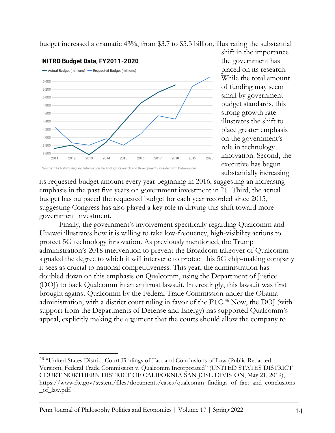budget increased a dramatic 43%, from \$3.7 to \$5.3 billion, illustrating the substantial



shift in the importance the government has placed on its research. While the total amount of funding may seem small by government budget standards, this strong growth rate illustrates the shift to place greater emphasis on the government's role in technology innovation. Second, the executive has begun substantially increasing

its requested budget amount every year beginning in 2016, suggesting an increasing emphasis in the past five years on government investment in IT. Third, the actual budget has outpaced the requested budget for each year recorded since 2015, suggesting Congress has also played a key role in driving this shift toward more government investment.

Finally, the government's involvement specifically regarding Qualcomm and Huawei illustrates how it is willing to take low-frequency, high-visibility actions to protect 5G technology innovation. As previously mentioned, the Trump administration's 2018 intervention to prevent the Broadcom takeover of Qualcomm signaled the degree to which it will intervene to protect this 5G chip-making company it sees as crucial to national competitiveness. This year, the administration has doubled down on this emphasis on Qualcomm, using the Department of Justice (DOJ) to back Qualcomm in an antitrust lawsuit. Interestingly, this lawsuit was first brought against Qualcomm by the Federal Trade Commission under the Obama administration, with a district court ruling in favor of the FTC.<sup>46</sup> Now, the DOJ (with support from the Departments of Defense and Energy) has supported Qualcomm's appeal, explicitly making the argument that the courts should allow the company to

<sup>&</sup>lt;sup>46</sup> "United States District Court Findings of Fact and Conclusions of Law (Public Redacted Version), Federal Trade Commission v. Qualcomm Incorporated" (UNITED STATES DISTRICT COURT NORTHERN DISTRICT OF CALIFORNIA SAN JOSE DIVISION, May 21, 2019), https://www.ftc.gov/system/files/documents/cases/qualcomm\_findings\_of\_fact\_and\_conclusions \_of\_law.pdf.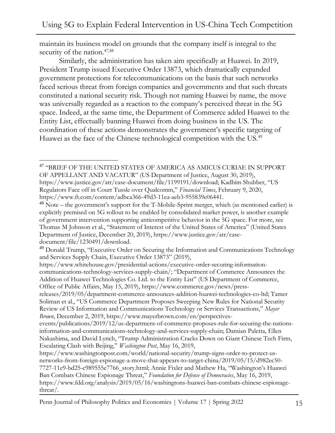maintain its business model on grounds that the company itself is integral to the security of the nation.<sup>47,48</sup>

Similarly, the administration has taken aim specifically at Huawei. In 2019, President Trump issued Executive Order 13873, which dramatically expanded government protections for telecommunications on the basis that such networks faced serious threat from foreign companies and governments and that such threats constituted a national security risk. Though not naming Huawei by name, the move was universally regarded as a reaction to the company's perceived threat in the 5G space. Indeed, at the same time, the Department of Commerce added Huawei to the Entity List, effectually banning Huawei from doing business in the US. The coordination of these actions demonstrates the government's specific targeting of Huawei as the face of the Chinese technological competition with the US.<sup>49</sup>

 $^{47}$  "BRIEF OF THE UNITED STATES OF AMERICA AS AMICUS CURIAE IN SUPPORT OF APPELLANT AND VACATUR" (US Department of Justice, August 30, 2019), https://www.justice.gov/atr/case-document/file/1199191/download; Kadhim Shubber, "US

Regulators Face off in Court Tussle over Qualcomm," *Financial Times*, February 9, 2020, https://www.ft.com/content/adbca366-49d3-11ea-aeb3-955839e06441.

<sup>48</sup> Note – the government's support for the T-Mobile-Sprint merger, which (as mentioned earlier) is explicitly premised on 5G rollout to be enabled by consolidated market power, is another example of government intervention supporting anticompetitive behavior in the 5G space. For more, see Thomas M Johnson et al., "Statement of Interest of the United States of America" (United States Department of Justice, December 20, 2019), https://www.justice.gov/atr/casedocument/file/1230491/download.

releases/2019/05/department-commerce-announces-addition-huawei-technologies-co-ltd; Tamer Soliman et al., "US Commerce Department Proposes Sweeping New Rules for National Security Review of US Information and Communications Technology or Services Transactions," *Mayer Brown*, December 2, 2019, https://www.mayerbrown.com/en/perspectives-

<sup>&</sup>lt;sup>49</sup> Donald Trump, "Executive Order on Securing the Information and Communications Technology and Services Supply Chain, Executive Order 13873" (2019),

https://www.whitehouse.gov/presidential-actions/executive-order-securing-informationcommunications-technology-services-supply-chain/; "Department of Commerce Announces the Addition of Huawei Technologies Co. Ltd. to the Entity List" (US Department of Commerce, Office of Public Affairs, May 15, 2019), https://www.commerce.gov/news/press-

events/publications/2019/12/us-department-of-commerce-proposes-rule-for-securing-the-nationsinformation-and-communications-technology-and-services-supply-chain; Damian Paletta, Ellen Nakashima, and David Lynch, "Trump Administration Cracks Down on Giant Chinese Tech Firm, Escalating Clash with Beijing," *Washington Post*, May 16, 2019,

https://www.washingtonpost.com/world/national-security/trump-signs-order-to-protect-usnetworks-from-foreign-espionage-a-move-that-appears-to-target-china/2019/05/15/d982ec50- 7727-11e9-bd25-c989555e7766\_story.html; Annie Fixler and Mathew Ha, "Washington's Huawei Ban Combats Chinese Espionage Threat," *Foundation for Defense of Democracies*, May 16, 2019, https://www.fdd.org/analysis/2019/05/16/washingtons-huawei-ban-combats-chinese-espionagethreat/.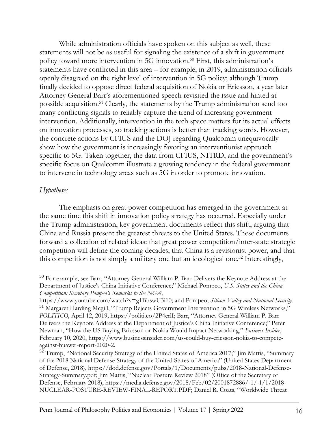While administration officials have spoken on this subject as well, these statements will not be as useful for signaling the existence of a shift in government policy toward more intervention in 5G innovation.<sup>50</sup> First, this administration's statements have conflicted in this area – for example, in 2019, administration officials openly disagreed on the right level of intervention in 5G policy; although Trump finally decided to oppose direct federal acquisition of Nokia or Ericsson, a year later Attorney General Barr's aforementioned speech revisited the issue and hinted at possible acquisition.<sup>51</sup> Clearly, the statements by the Trump administration send too many conflicting signals to reliably capture the trend of increasing government intervention. Additionally, intervention in the tech space matters for its actual effects on innovation processes, so tracking actions is better than tracking words. However, the concrete actions by CFIUS and the DOJ regarding Qualcomm unequivocally show how the government is increasingly favoring an interventionist approach specific to 5G. Taken together, the data from CFIUS, NITRD, and the government's specific focus on Qualcomm illustrate a growing tendency in the federal government to intervene in technology areas such as 5G in order to promote innovation.

#### *Hypotheses*

The emphasis on great power competition has emerged in the government at the same time this shift in innovation policy strategy has occurred. Especially under the Trump administration, key government documents reflect this shift, arguing that China and Russia present the greatest threats to the United States. These documents forward a collection of related ideas: that great power competition/inter-state strategic competition will define the coming decades, that China is a revisionist power, and that this competition is not simply a military one but an ideological one.<sup>52</sup> Interestingly,

<sup>&</sup>lt;sup>50</sup> For example, see Barr, "Attorney General William P. Barr Delivers the Keynote Address at the Department of Justice's China Initiative Conference;" Michael Pompeo, *U.S. States and the China Competition: Secretary Pompeo's Remarks to the NGA*,

https://www.youtube.com/watch?v=g1BbswU3i10; and Pompeo, *Silicon Valley and National Security*. <sup>51</sup> Margaret Harding Mcgill, "Trump Rejects Government Intervention in 5G Wireless Networks," *POLITICO*, April 12, 2019, https://politi.co/2P4erlI; Barr, "Attorney General William P. Barr Delivers the Keynote Address at the Department of Justice's China Initiative Conference;" Peter Newman, "How the US Buying Ericsson or Nokia Would Impact Networking," *Business Insider*, February 10, 2020, https://www.businessinsider.com/us-could-buy-ericsson-nokia-to-competeagainst-huawei-report-2020-2.

<sup>&</sup>lt;sup>52</sup> Trump, "National Security Strategy of the United States of America 2017;" Jim Mattis, "Summary of the 2018 National Defense Strategy of the United States of America" (United States Department of Defense, 2018), https://dod.defense.gov/Portals/1/Documents/pubs/2018-National-Defense-Strategy-Summary.pdf; Jim Mattis, "Nuclear Posture Review 2018" (Office of the Secretary of Defense, February 2018), https://media.defense.gov/2018/Feb/02/2001872886/-1/-1/1/2018- NUCLEAR-POSTURE-REVIEW-FINAL-REPORT.PDF; Daniel R. Coats, "Worldwide Threat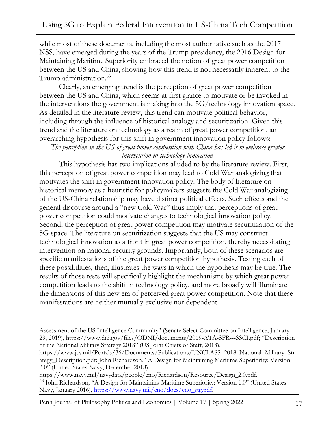while most of these documents, including the most authoritative such as the 2017 NSS, have emerged during the years of the Trump presidency, the 2016 Design for Maintaining Maritime Superiority embraced the notion of great power competition between the US and China, showing how this trend is not necessarily inherent to the Trump administration.<sup>53</sup>

Clearly, an emerging trend is the perception of great power competition between the US and China, which seems at first glance to motivate or be invoked in the interventions the government is making into the 5G/technology innovation space. As detailed in the literature review, this trend can motivate political behavior, including through the influence of historical analogy and securitization. Given this trend and the literature on technology as a realm of great power competition, an overarching hypothesis for this shift in government innovation policy follows:

*The perception in the US of great power competition with China has led it to embrace greater intervention in technology innovation*

This hypothesis has two implications alluded to by the literature review. First, this perception of great power competition may lead to Cold War analogizing that motivates the shift in government innovation policy. The body of literature on historical memory as a heuristic for policymakers suggests the Cold War analogizing of the US-China relationship may have distinct political effects. Such effects and the general discourse around a "new Cold War" thus imply that perceptions of great power competition could motivate changes to technological innovation policy. Second, the perception of great power competition may motivate securitization of the 5G space. The literature on securitization suggests that the US may construct technological innovation as a front in great power competition, thereby necessitating intervention on national security grounds. Importantly, both of these scenarios are specific manifestations of the great power competition hypothesis. Testing each of these possibilities, then, illustrates the ways in which the hypothesis may be true. The results of those tests will specifically highlight the mechanisms by which great power competition leads to the shift in technology policy, and more broadly will illuminate the dimensions of this new era of perceived great power competition. Note that these manifestations are neither mutually exclusive nor dependent.

Penn Journal of Philosophy Politics and Economics | Volume 17 | Spring 2022 17

Assessment of the US Intelligence Community" (Senate Select Committee on Intelligence, January 29, 2019), https://www.dni.gov/files/ODNI/documents/2019-ATA-SFR---SSCI.pdf; "Description of the National Military Strategy 2018" (US Joint Chiefs of Staff, 2018),

https://www.jcs.mil/Portals/36/Documents/Publications/UNCLASS\_2018\_National\_Military\_Str ategy\_Description.pdf; John Richardson, "A Design for Maintaining Maritime Superiority: Version 2.0" (United States Navy, December 2018),

https://www.navy.mil/navydata/people/cno/Richardson/Resource/Design\_2.0.pdf.

<sup>53</sup> John Richardson, "A Design for Maintaining Maritime Superiority: Version 1.0" (United States Navy, January 2016), [https://www.navy.mil/cno/docs/cno\\_stg.pdf.](https://www.navy.mil/cno/docs/cno_stg.pdf)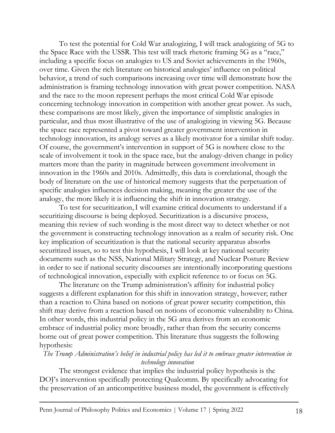To test the potential for Cold War analogizing, I will track analogizing of 5G to the Space Race with the USSR. This test will track rhetoric framing 5G as a "race," including a specific focus on analogies to US and Soviet achievements in the 1960s, over time. Given the rich literature on historical analogies' influence on political behavior, a trend of such comparisons increasing over time will demonstrate how the administration is framing technology innovation with great power competition. NASA and the race to the moon represent perhaps the most critical Cold War episode concerning technology innovation in competition with another great power. As such, these comparisons are most likely, given the importance of simplistic analogies in particular, and thus most illustrative of the use of analogizing in viewing 5G. Because the space race represented a pivot toward greater government intervention in technology innovation, its analogy serves as a likely motivator for a similar shift today. Of course, the government's intervention in support of 5G is nowhere close to the scale of involvement it took in the space race, but the analogy-driven change in policy matters more than the parity in magnitude between government involvement in innovation in the 1960s and 2010s. Admittedly, this data is correlational, though the body of literature on the use of historical memory suggests that the perpetuation of specific analogies influences decision making, meaning the greater the use of the analogy, the more likely it is influencing the shift in innovation strategy.

To test for securitization,I will examine critical documents to understand if a securitizing discourse is being deployed. Securitization is a discursive process, meaning this review of such wording is the most direct way to detect whether or not the government is constructing technology innovation as a realm of security risk. One key implication of securitization is that the national security apparatus absorbs securitized issues, so to test this hypothesis, I will look at key national security documents such as the NSS, National Military Strategy, and Nuclear Posture Review in order to see if national security discourses are intentionally incorporating questions of technological innovation, especially with explicit reference to or focus on 5G.

The literature on the Trump administration's affinity for industrial policy suggests a different explanation for this shift in innovation strategy, however; rather than a reaction to China based on notions of great power security competition, this shift may derive from a reaction based on notions of economic vulnerability to China. In other words, this industrial policy in the 5G area derives from an economic embrace of industrial policy more broadly, rather than from the security concerns borne out of great power competition. This literature thus suggests the following hypothesis:

#### *The Trump Administration's belief in industrial policy has led it to embrace greater intervention in technology innovation*

The strongest evidence that implies the industrial policy hypothesis is the DOJ's intervention specifically protecting Qualcomm. By specifically advocating for the preservation of an anticompetitive business model, the government is effectively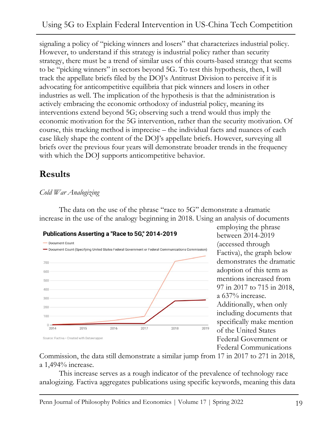signaling a policy of "picking winners and losers" that characterizes industrial policy. However, to understand if this strategy is industrial policy rather than security strategy, there must be a trend of similar uses of this courts-based strategy that seems to be "picking winners" in sectors beyond 5G. To test this hypothesis, then, I will track the appellate briefs filed by the DOJ's Antitrust Division to perceive if it is advocating for anticompetitive equilibria that pick winners and losers in other industries as well. The implication of the hypothesis is that the administration is actively embracing the economic orthodoxy of industrial policy, meaning its interventions extend beyond 5G; observing such a trend would thus imply the economic motivation for the 5G intervention, rather than the security motivation. Of course, this tracking method is imprecise – the individual facts and nuances of each case likely shape the content of the DOJ's appellate briefs. However, surveying all briefs over the previous four years will demonstrate broader trends in the frequency with which the DOJ supports anticompetitive behavior.

# **Results**

### *Cold War Analogizing*

The data on the use of the phrase "race to 5G" demonstrate a dramatic increase in the use of the analogy beginning in 2018. Using an analysis of documents



employing the phrase between 2014-2019 (accessed through Factiva), the graph below demonstrates the dramatic adoption of this term as mentions increased from 97 in 2017 to 715 in 2018, a 637% increase. Additionally, when only including documents that specifically make mention of the United States Federal Government or Federal Communications

Commission, the data still demonstrate a similar jump from 17 in 2017 to 271 in 2018, a 1,494% increase.

This increase serves as a rough indicator of the prevalence of technology race analogizing. Factiva aggregates publications using specific keywords, meaning this data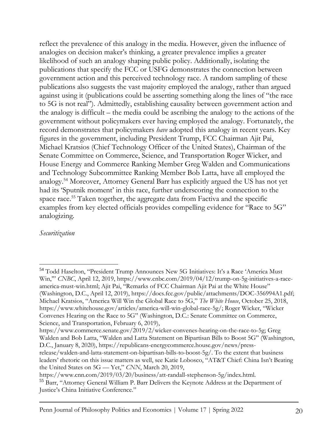reflect the prevalence of this analogy in the media. However, given the influence of analogies on decision maker's thinking, a greater prevalence implies a greater likelihood of such an analogy shaping public policy. Additionally, isolating the publications that specify the FCC or USFG demonstrates the connection between government action and this perceived technology race. A random sampling of these publications also suggests the vast majority employed the analogy, rather than argued against using it (publications could be asserting something along the lines of "the race to 5G is not real"). Admittedly, establishing causality between government action and the analogy is difficult – the media could be ascribing the analogy to the actions of the government without policymakers ever having employed the analogy. Fortunately, the record demonstrates that policymakers *have* adopted this analogy in recent years. Key figures in the government, including President Trump, FCC Chairman Ajit Pai, Michael Kratsios (Chief Technology Officer of the United States), Chairman of the Senate Committee on Commerce, Science, and Transportation Roger Wicker, and House Energy and Commerce Ranking Member Greg Walden and Communications and Technology Subcommittee Ranking Member Bob Latta, have all employed the analogy.<sup>54</sup> Moreover, Attorney General Barr has explicitly argued the US has not yet had its 'Sputnik moment' in this race, further underscoring the connection to the space race.<sup>55</sup> Taken together, the aggregate data from Factiva and the specific examples from key elected officials provides compelling evidence for "Race to 5G" analogizing.

#### *Securitization*

<sup>54</sup> Todd Haselton, "President Trump Announces New 5G Initiatives: It's a Race 'America Must Win,'" *CNBC*, April 12, 2019, https://www.cnbc.com/2019/04/12/trump-on-5g-initiatives-a-raceamerica-must-win.html; Ajit Pai, "Remarks of FCC Chairman Ajit Pai at the White House" (Washington, D.C., April 12, 2019), https://docs.fcc.gov/public/attachments/DOC-356994A1.pdf; Michael Kratsios, "America Will Win the Global Race to 5G," *The White House*, October 25, 2018, https://www.whitehouse.gov/articles/america-will-win-global-race-5g/; Roger Wicker, "Wicker Convenes Hearing on the Race to 5G" (Washington, D.C.: Senate Committee on Commerce, Science, and Transportation, February 6, 2019),

https://www.commerce.senate.gov/2019/2/wicker-convenes-hearing-on-the-race-to-5g; Greg Walden and Bob Latta, "Walden and Latta Statement on Bipartisan Bills to Boost 5G" (Washington, D.C., January 8, 2020), https://republicans-energycommerce.house.gov/news/press-

release/walden-and-latta-statement-on-bipartisan-bills-to-boost-5g/. To the extent that business leaders' rhetoric on this issue matters as well, see Katie Lobosco, "AT&T Chief: China Isn't Beating the United States on 5G — Yet," *CNN*, March 20, 2019,

https://www.cnn.com/2019/03/20/business/att-randall-stephenson-5g/index.html.

<sup>&</sup>lt;sup>55</sup> Barr, "Attorney General William P. Barr Delivers the Keynote Address at the Department of Justice's China Initiative Conference."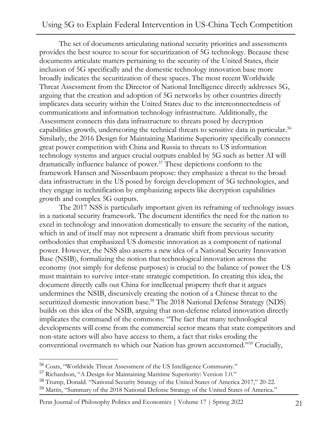### Using 5G to Explain Federal Intervention in US-China Tech Competition

The set of documents articulating national security priorities and assessments provides the best source to scour for securitization of 5G technology. Because these documents articulate matters pertaining to the security of the United States, their inclusion of 5G specifically and the domestic technology innovation base more broadly indicates the securitization of these spaces. The most recent Worldwide Threat Assessment from the Director of National Intelligence directly addresses 5G, arguing that the creation and adoption of 5G networks by other countries directly implicates data security within the United States due to the interconnectedness of communications and information technology infrastructure. Additionally, the Assessment connects this data infrastructure to threats posed by decryption capabilities growth, underscoring the technical threats to sensitive data in particular.<sup>56</sup> Similarly, the 2016 Design for Maintaining Maritime Superiority specifically connects great power competition with China and Russia to threats to US information technology systems and argues crucial outputs enabled by 5G such as better AI will dramatically influence balance of power.<sup>57</sup> These depictions conform to the framework Hansen and Nissenbaum propose: they emphasize a threat to the broad data infrastructure in the US posed by foreign development of 5G technologies, and they engage in technification by emphasizing aspects like decryption capabilities growth and complex 5G outputs.

The 2017 NSS is particularly important given its reframing of technology issues in a national security framework. The document identifies the need for the nation to excel in technology and innovation domestically to ensure the security of the nation, which in and of itself may not represent a dramatic shift from previous security orthodoxies that emphasized US domestic innovation as a component of national power. However, the NSS also asserts a new idea of a National Security Innovation Base (NSIB), formalizing the notion that technological innovation across the economy (not simply for defense purposes) is crucial to the balance of power the US must maintain to survive inter-state strategic competition. In creating this idea, the document directly calls out China for intellectual property theft that it argues undermines the NSIB, discursively creating the notion of a Chinese threat to the securitized domestic innovation base.<sup>58</sup> The 2018 National Defense Strategy (NDS) builds on this idea of the NSIB, arguing that non-defense related innovation directly implicates the command of the commons: "The fact that many technological developments will come from the commercial sector means that state competitors and non-state actors will also have access to them, a fact that risks eroding the conventional overmatch to which our Nation has grown accustomed."<sup>59</sup> Crucially,

<sup>56</sup> Coats, "Worldwide Threat Assessment of the US Intelligence Community."

<sup>&</sup>lt;sup>57</sup> Richardson, "A Design for Maintaining Maritime Superiority: Version 1.0."

<sup>&</sup>lt;sup>58</sup> Trump, Donald. "National Security Strategy of the United States of America 2017," 20-22.

<sup>59</sup> Mattis, "Summary of the 2018 National Defense Strategy of the United States of America."

Penn Journal of Philosophy Politics and Economics | Volume 17 | Spring 2022 21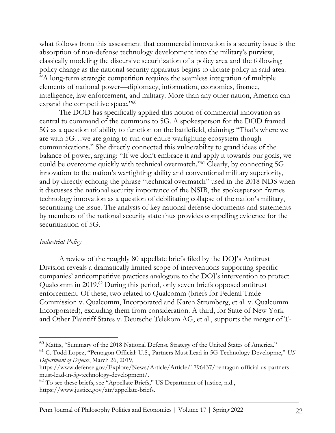what follows from this assessment that commercial innovation is a security issue is the absorption of non-defense technology development into the military's purview, classically modeling the discursive securitization of a policy area and the following policy change as the national security apparatus begins to dictate policy in said area: "A long-term strategic competition requires the seamless integration of multiple elements of national power—diplomacy, information, economics, finance, intelligence, law enforcement, and military. More than any other nation, America can expand the competitive space."<sup>60</sup>

The DOD has specifically applied this notion of commercial innovation as central to command of the commons to 5G. A spokesperson for the DOD framed 5G as a question of ability to function on the battlefield, claiming: "That's where we are with 5G…we are going to run our entire warfighting ecosystem though communications." She directly connected this vulnerability to grand ideas of the balance of power, arguing: "If we don't embrace it and apply it towards our goals, we could be overcome quickly with technical overmatch."<sup>61</sup> Clearly, by connecting 5G innovation to the nation's warfighting ability and conventional military superiority, and by directly echoing the phrase "technical overmatch" used in the 2018 NDS when it discusses the national security importance of the NSIB, the spokesperson frames technology innovation as a question of debilitating collapse of the nation's military, securitizing the issue. The analysis of key national defense documents and statements by members of the national security state thus provides compelling evidence for the securitization of 5G.

#### *Industrial Policy*

A review of the roughly 80 appellate briefs filed by the DOJ's Antitrust Division reveals a dramatically limited scope of interventions supporting specific companies' anticompetitive practices analogous to the DOJ's intervention to protect Qualcomm in 2019.<sup>62</sup> During this period, only seven briefs opposed antitrust enforcement. Of these, two related to Qualcomm (briefs for Federal Trade Commission v. Qualcomm, Incorporated and Karen Stromberg, et al. v. Qualcomm Incorporated), excluding them from consideration. A third, for State of New York and Other Plaintiff States v. Deutsche Telekom AG, et al., supports the merger of T-

<sup>60</sup> Mattis, "Summary of the 2018 National Defense Strategy of the United States of America."

<sup>61</sup> C. Todd Lopez, "Pentagon Official: U.S., Partners Must Lead in 5G Technology Developme," *US Department of Defense*, March 26, 2019,

https://www.defense.gov/Explore/News/Article/Article/1796437/pentagon-official-us-partnersmust-lead-in-5g-technology-development/.

<sup>62</sup> To see these briefs, see "Appellate Briefs," US Department of Justice, n.d., https://www.justice.gov/atr/appellate-briefs.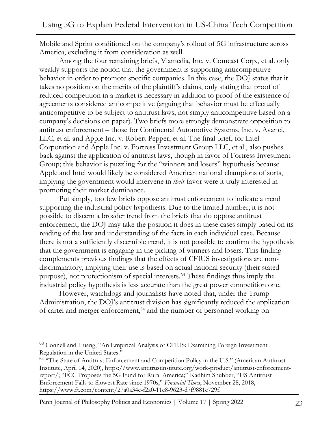Mobile and Sprint conditioned on the company's rollout of 5G infrastructure across America, excluding it from consideration as well.

Among the four remaining briefs, Viamedia, Inc. v. Comcast Corp., et al. only weakly supports the notion that the government is supporting anticompetitive behavior in order to promote specific companies. In this case, the DOJ states that it takes no position on the merits of the plaintiff's claims, only stating that proof of reduced competition in a market is necessary in addition to proof of the existence of agreements considered anticompetitive (arguing that behavior must be effectually anticompetitive to be subject to antitrust laws, not simply anticompetitive based on a company's decisions on paper). Two briefs more strongly demonstrate opposition to antitrust enforcement – those for Continental Automotive Systems, Inc. v. Avanci, LLC, et al. and Apple Inc. v. Robert Pepper, et al. The final brief, for Intel Corporation and Apple Inc. v. Fortress Investment Group LLC, et al., also pushes back against the application of antitrust laws, though in favor of Fortress Investment Group; this behavior is puzzling for the "winners and losers" hypothesis because Apple and Intel would likely be considered American national champions of sorts, implying the government would intervene in *their* favor were it truly interested in promoting their market dominance.

Put simply, too few briefs oppose antitrust enforcement to indicate a trend supporting the industrial policy hypothesis. Due to the limited number, it is not possible to discern a broader trend from the briefs that do oppose antitrust enforcement; the DOJ may take the position it does in these cases simply based on its reading of the law and understanding of the facts in each individual case. Because there is not a sufficiently discernible trend, it is not possible to confirm the hypothesis that the government is engaging in the picking of winners and losers. This finding complements previous findings that the effects of CFIUS investigations are nondiscriminatory, implying their use is based on actual national security (their stated purpose), not protectionism of special interests.<sup>63</sup> These findings thus imply the industrial policy hypothesis is less accurate than the great power competition one.

However, watchdogs and journalists have noted that, under the Trump Administration, the DOJ's antitrust division has significantly reduced the application of cartel and merger enforcement,<sup>64</sup> and the number of personnel working on

Penn Journal of Philosophy Politics and Economics | Volume 17 | Spring 2022 23

<sup>&</sup>lt;sup>63</sup> Connell and Huang, "An Empirical Analysis of CFIUS: Examining Foreign Investment Regulation in the United States."

<sup>&</sup>lt;sup>64</sup> "The State of Antitrust Enforcement and Competition Policy in the U.S." (American Antitrust Institute, April 14, 2020), https://www.antitrustinstitute.org/work-product/antitrust-enforcementreport/; "FCC Proposes the 5G Fund for Rural America;" Kadhim Shubber, "US Antitrust Enforcement Falls to Slowest Rate since 1970s," *Financial Times*, November 28, 2018, https://www.ft.com/content/27a0a34e-f2a0-11e8-9623-d7f9881e729f.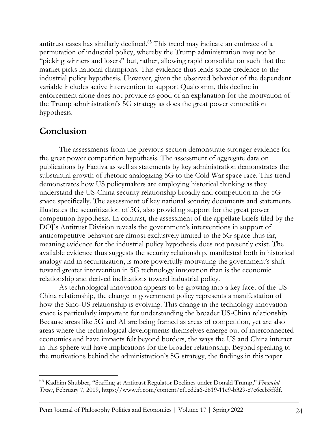antitrust cases has similarly declined.<sup>65</sup> This trend may indicate an embrace of a permutation of industrial policy, whereby the Trump administration may not be "picking winners and losers" but, rather, allowing rapid consolidation such that the market picks national champions. This evidence thus lends some credence to the industrial policy hypothesis. However, given the observed behavior of the dependent variable includes active intervention to support Qualcomm, this decline in enforcement alone does not provide as good of an explanation for the motivation of the Trump administration's 5G strategy as does the great power competition hypothesis.

# **Conclusion**

The assessments from the previous section demonstrate stronger evidence for the great power competition hypothesis. The assessment of aggregate data on publications by Factiva as well as statements by key administration demonstrates the substantial growth of rhetoric analogizing 5G to the Cold War space race. This trend demonstrates how US policymakers are employing historical thinking as they understand the US-China security relationship broadly and competition in the 5G space specifically. The assessment of key national security documents and statements illustrates the securitization of 5G, also providing support for the great power competition hypothesis. In contrast, the assessment of the appellate briefs filed by the DOJ's Antitrust Division reveals the government's interventions in support of anticompetitive behavior are almost exclusively limited to the 5G space thus far, meaning evidence for the industrial policy hypothesis does not presently exist. The available evidence thus suggests the security relationship, manifested both in historical analogy and in securitization, is more powerfully motivating the government's shift toward greater intervention in 5G technology innovation than is the economic relationship and derived inclinations toward industrial policy.

As technological innovation appears to be growing into a key facet of the US-China relationship, the change in government policy represents a manifestation of how the Sino-US relationship is evolving. This change in the technology innovation space is particularly important for understanding the broader US-China relationship. Because areas like 5G and AI are being framed as areas of competition, yet are also areas where the technological developments themselves emerge out of interconnected economies and have impacts felt beyond borders, the ways the US and China interact in this sphere will have implications for the broader relationship. Beyond speaking to the motivations behind the administration's 5G strategy, the findings in this paper

<sup>65</sup> Kadhim Shubber, "Staffing at Antitrust Regulator Declines under Donald Trump," *Financial Times*, February 7, 2019, https://www.ft.com/content/cf1ed2a6-2619-11e9-b329-c7e6ceb5ffdf.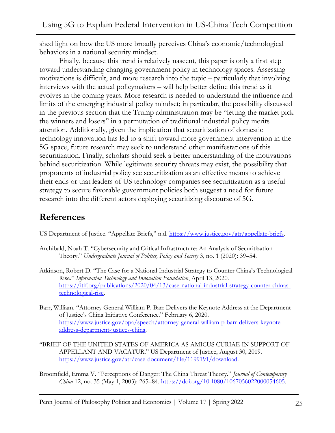shed light on how the US more broadly perceives China's economic/technological behaviors in a national security mindset.

Finally, because this trend is relatively nascent, this paper is only a first step toward understanding changing government policy in technology spaces. Assessing motivations is difficult, and more research into the topic – particularly that involving interviews with the actual policymakers – will help better define this trend as it evolves in the coming years. More research is needed to understand the influence and limits of the emerging industrial policy mindset; in particular, the possibility discussed in the previous section that the Trump administration may be "letting the market pick the winners and losers" in a permutation of traditional industrial policy merits attention. Additionally, given the implication that securitization of domestic technology innovation has led to a shift toward more government intervention in the 5G space, future research may seek to understand other manifestations of this securitization. Finally, scholars should seek a better understanding of the motivations behind securitization. While legitimate security threats may exist, the possibility that proponents of industrial policy see securitization as an effective means to achieve their ends or that leaders of US technology companies see securitization as a useful strategy to secure favorable government policies both suggest a need for future research into the different actors deploying securitizing discourse of 5G.

# **References**

US Department of Justice. "Appellate Briefs," n.d. [https://www.justice.gov/atr/appellate-briefs.](https://www.justice.gov/atr/appellate-briefs)

- Archibald, Noah T. "Cybersecurity and Critical Infrastructure: An Analysis of Securitization Theory." *Undergraduate Journal of Politics, Policy and Society* 3, no. 1 (2020): 39–54.
- Atkinson, Robert D. "The Case for a National Industrial Strategy to Counter China's Technological Rise." *Information Technology and Innovation Foundation*, April 13, 2020. [https://itif.org/publications/2020/04/13/case-national-industrial-strategy-counter-chinas](https://itif.org/publications/2020/04/13/case-national-industrial-strategy-counter-chinas-technological-rise)[technological-rise.](https://itif.org/publications/2020/04/13/case-national-industrial-strategy-counter-chinas-technological-rise)
- Barr, William. "Attorney General William P. Barr Delivers the Keynote Address at the Department of Justice's China Initiative Conference." February 6, 2020. [https://www.justice.gov/opa/speech/attorney-general-william-p-barr-delivers-keynote](https://www.justice.gov/opa/speech/attorney-general-william-p-barr-delivers-keynote-address-department-justices-china)[address-department-justices-china.](https://www.justice.gov/opa/speech/attorney-general-william-p-barr-delivers-keynote-address-department-justices-china)
- "BRIEF OF THE UNITED STATES OF AMERICA AS AMICUS CURIAE IN SUPPORT OF APPELLANT AND VACATUR." US Department of Justice, August 30, 2019. [https://www.justice.gov/atr/case-document/file/1199191/download.](https://www.justice.gov/atr/case-document/file/1199191/download)
- Broomfield, Emma V. "Perceptions of Danger: The China Threat Theory." *Journal of Contemporary China* 12, no. 35 (May 1, 2003): 265–84. [https://doi.org/10.1080/1067056022000054605.](https://doi.org/10.1080/1067056022000054605)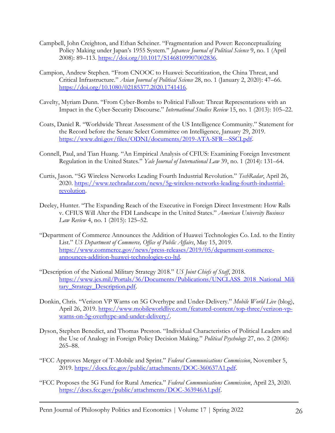- Campbell, John Creighton, and Ethan Scheiner. "Fragmentation and Power: Reconceptualizing Policy Making under Japan's 1955 System." *Japanese Journal of Political Science* 9, no. 1 (April 2008): 89–113. [https://doi.org/10.1017/S1468109907002836.](https://doi.org/10.1017/S1468109907002836)
- Campion, Andrew Stephen. "From CNOOC to Huawei: Securitization, the China Threat, and Critical Infrastructure." *Asian Journal of Political Science* 28, no. 1 (January 2, 2020): 47–66. [https://doi.org/10.1080/02185377.2020.1741416.](https://doi.org/10.1080/02185377.2020.1741416)
- Cavelty, Myriam Dunn. "From Cyber-Bombs to Political Fallout: Threat Representations with an Impact in the Cyber-Security Discourse." *International Studies Review* 15, no. 1 (2013): 105–22.
- Coats, Daniel R. "Worldwide Threat Assessment of the US Intelligence Community." Statement for the Record before the Senate Select Committee on Intelligence, January 29, 2019. [https://www.dni.gov/files/ODNI/documents/2019-ATA-SFR---SSCI.pdf.](https://www.dni.gov/files/ODNI/documents/2019-ATA-SFR---SSCI.pdf)
- Connell, Paul, and Tian Huang. "An Empirical Analysis of CFIUS: Examining Foreign Investment Regulation in the United States." *Yale Journal of International Law* 39, no. 1 (2014): 131–64.
- Curtis, Jason. "5G Wireless Networks Leading Fourth Industrial Revolution." *TechRadar*, April 26, 2020. [https://www.techradar.com/news/5g-wireless-networks-leading-fourth-industrial](https://www.techradar.com/news/5g-wireless-networks-leading-fourth-industrial-revolution)[revolution.](https://www.techradar.com/news/5g-wireless-networks-leading-fourth-industrial-revolution)
- Deeley, Hunter. "The Expanding Reach of the Executive in Foreign Direct Investment: How Ralls v. CFIUS Will Alter the FDI Landscape in the United States." *American University Business Law Review* 4, no. 1 (2015): 125–52.
- "Department of Commerce Announces the Addition of Huawei Technologies Co. Ltd. to the Entity List." *US Department of Commerce, Office of Public Affairs*, May 15, 2019. [https://www.commerce.gov/news/press-releases/2019/05/department-commerce](https://www.commerce.gov/news/press-releases/2019/05/department-commerce-announces-addition-huawei-technologies-co-ltd)[announces-addition-huawei-technologies-co-ltd.](https://www.commerce.gov/news/press-releases/2019/05/department-commerce-announces-addition-huawei-technologies-co-ltd)
- "Description of the National Military Strategy 2018." *US Joint Chiefs of Staff*, 2018. [https://www.jcs.mil/Portals/36/Documents/Publications/UNCLASS\\_2018\\_National\\_Mili](https://www.jcs.mil/Portals/36/Documents/Publications/UNCLASS_2018_National_Military_Strategy_Description.pdf) tary Strategy Description.pdf.
- Donkin, Chris. "Verizon VP Warns on 5G Overhype and Under-Delivery." *Mobile World Live* (blog), April 26, 2019. [https://www.mobileworldlive.com/featured-content/top-three/verizon-vp](https://www.mobileworldlive.com/featured-content/top-three/verizon-vp-warns-on-5g-overhype-and-under-delivery/)[warns-on-5g-overhype-and-under-delivery/.](https://www.mobileworldlive.com/featured-content/top-three/verizon-vp-warns-on-5g-overhype-and-under-delivery/)
- Dyson, Stephen Benedict, and Thomas Preston. "Individual Characteristics of Political Leaders and the Use of Analogy in Foreign Policy Decision Making." *Political Psychology* 27, no. 2 (2006): 265–88.
- "FCC Approves Merger of T-Mobile and Sprint." *Federal Communications Commission*, November 5, 2019. [https://docs.fcc.gov/public/attachments/DOC-360637A1.pdf.](https://docs.fcc.gov/public/attachments/DOC-360637A1.pdf)
- "FCC Proposes the 5G Fund for Rural America." *Federal Communications Commission*, April 23, 2020. [https://docs.fcc.gov/public/attachments/DOC-363946A1.pdf.](https://docs.fcc.gov/public/attachments/DOC-363946A1.pdf)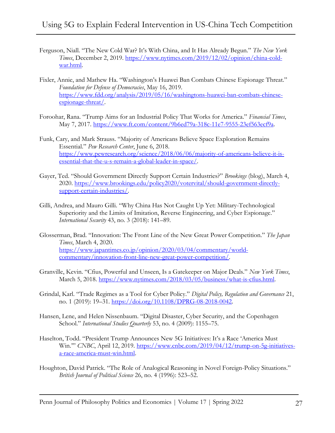- Ferguson, Niall. "The New Cold War? It's With China, and It Has Already Begun." *The New York Times*, December 2, 2019. [https://www.nytimes.com/2019/12/02/opinion/china-cold](https://www.nytimes.com/2019/12/02/opinion/china-cold-war.html)[war.html.](https://www.nytimes.com/2019/12/02/opinion/china-cold-war.html)
- Fixler, Annie, and Mathew Ha. "Washington's Huawei Ban Combats Chinese Espionage Threat." *Foundation for Defense of Democracies*, May 16, 2019. [https://www.fdd.org/analysis/2019/05/16/washingtons-huawei-ban-combats-chinese](https://www.fdd.org/analysis/2019/05/16/washingtons-huawei-ban-combats-chinese-espionage-threat/)[espionage-threat/.](https://www.fdd.org/analysis/2019/05/16/washingtons-huawei-ban-combats-chinese-espionage-threat/)
- Foroohar, Rana. "Trump Aims for an Industrial Policy That Works for America." *Financial Times*, May 7, 2017. [https://www.ft.com/content/9b6ed79a-318c-11e7-9555-23ef563ecf9a.](https://www.ft.com/content/9b6ed79a-318c-11e7-9555-23ef563ecf9a)
- Funk, Cary, and Mark Strauss. "Majority of Americans Believe Space Exploration Remains Essential." *Pew Research Center*, June 6, 2018. [https://www.pewresearch.org/science/2018/06/06/majority-of-americans-believe-it-is](https://www.pewresearch.org/science/2018/06/06/majority-of-americans-believe-it-is-essential-that-the-u-s-remain-a-global-leader-in-space/)[essential-that-the-u-s-remain-a-global-leader-in-space/.](https://www.pewresearch.org/science/2018/06/06/majority-of-americans-believe-it-is-essential-that-the-u-s-remain-a-global-leader-in-space/)
- Gayer, Ted. "Should Government Directly Support Certain Industries?" *Brookings* (blog), March 4, 2020. [https://www.brookings.edu/policy2020/votervital/should-government-directly](https://www.brookings.edu/policy2020/votervital/should-government-directly-support-certain-industries/)[support-certain-industries/.](https://www.brookings.edu/policy2020/votervital/should-government-directly-support-certain-industries/)
- Gilli, Andrea, and Mauro Gilli. "Why China Has Not Caught Up Yet: Military-Technological Superiority and the Limits of Imitation, Reverse Engineering, and Cyber Espionage." *International Security* 43, no. 3 (2018): 141–89.
- Glosserman, Brad. "Innovation: The Front Line of the New Great Power Competition." *The Japan Times*, March 4, 2020. [https://www.japantimes.co.jp/opinion/2020/03/04/commentary/world](https://www.japantimes.co.jp/opinion/2020/03/04/commentary/world-commentary/innovation-front-line-new-great-power-competition/)[commentary/innovation-front-line-new-great-power-competition/.](https://www.japantimes.co.jp/opinion/2020/03/04/commentary/world-commentary/innovation-front-line-new-great-power-competition/)
- Granville, Kevin. "Cfius, Powerful and Unseen, Is a Gatekeeper on Major Deals." *New York Times*, March 5, 2018. [https://www.nytimes.com/2018/03/05/business/what-is-cfius.html.](https://www.nytimes.com/2018/03/05/business/what-is-cfius.html)
- Grindal, Karl. "Trade Regimes as a Tool for Cyber Policy." *Digital Policy, Regulation and Governance* 21, no. 1 (2019): 19–31. [https://doi.org/10.1108/DPRG-08-2018-0042.](https://doi.org/10.1108/DPRG-08-2018-0042)
- Hansen, Lene, and Helen Nissenbaum. "Digital Disaster, Cyber Security, and the Copenhagen School." *International Studies Quarterly* 53, no. 4 (2009): 1155–75.
- Haselton, Todd. "President Trump Announces New 5G Initiatives: It's a Race 'America Must Win.'" *CNBC*, April 12, 2019. [https://www.cnbc.com/2019/04/12/trump-on-5g-initiatives](https://www.cnbc.com/2019/04/12/trump-on-5g-initiatives-a-race-america-must-win.html)[a-race-america-must-win.html.](https://www.cnbc.com/2019/04/12/trump-on-5g-initiatives-a-race-america-must-win.html)
- Houghton, David Patrick. "The Role of Analogical Reasoning in Novel Foreign-Policy Situations." *British Journal of Political Science* 26, no. 4 (1996): 523–52.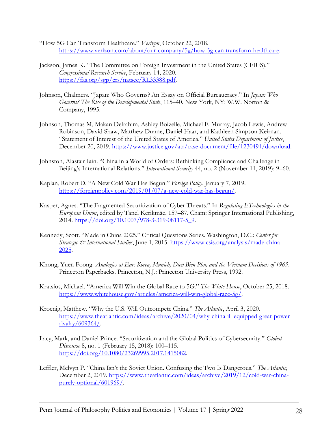- "How 5G Can Transform Healthcare." *Verizon*, October 22, 2018. [https://www.verizon.com/about/our-company/5g/how-5g-can-transform-healthcare.](https://www.verizon.com/about/our-company/5g/how-5g-can-transform-healthcare)
- Jackson, James K. "The Committee on Foreign Investment in the United States (CFIUS)." *Congressional Research Service*, February 14, 2020. [https://fas.org/sgp/crs/natsec/RL33388.pdf.](https://fas.org/sgp/crs/natsec/RL33388.pdf)
- Johnson, Chalmers. "Japan: Who Governs? An Essay on Official Bureaucracy." In *Japan: Who Governs? The Rise of the Developmental State*, 115–40. New York, NY: W.W. Norton & Company, 1995.
- Johnson, Thomas M, Makan Delrahim, Ashley Boizelle, Michael F. Murray, Jacob Lewis, Andrew Robinson, David Shaw, Matthew Dunne, Daniel Haar, and Kathleen Simpson Keirnan. "Statement of Interest of the United States of America." *United States Department of Justice*, December 20, 2019. [https://www.justice.gov/atr/case-document/file/1230491/download.](https://www.justice.gov/atr/case-document/file/1230491/download)
- Johnston, Alastair Iain. "China in a World of Orders: Rethinking Compliance and Challenge in Beijing's International Relations." *International Security* 44, no. 2 (November 11, 2019): 9–60.
- Kaplan, Robert D. "A New Cold War Has Begun." *Foreign Policy*, January 7, 2019. [https://foreignpolicy.com/2019/01/07/a-new-cold-war-has-begun/.](https://foreignpolicy.com/2019/01/07/a-new-cold-war-has-begun/)
- Kasper, Agnes. "The Fragmented Securitization of Cyber Threats." In *Regulating ETechnologies in the European Union*, edited by Tanel Kerikmäe, 157–87. Cham: Springer International Publishing, 2014. [https://doi.org/10.1007/978-3-319-08117-5\\_9.](https://doi.org/10.1007/978-3-319-08117-5_9)
- Kennedy, Scott. "Made in China 2025." Critical Questions Series. Washington, D.C.: *Center for Strategic & International Studies*, June 1, 2015. [https://www.csis.org/analysis/made-china-](https://www.csis.org/analysis/made-china-2025)[2025.](https://www.csis.org/analysis/made-china-2025)
- Khong, Yuen Foong. *Analogies at Ear: Korea, Munich, Dien Bien Phu, and the Vietnam Decisions of 1965*. Princeton Paperbacks. Princeton, N.J.: Princeton University Press, 1992.
- Kratsios, Michael. "America Will Win the Global Race to 5G." *The White House*, October 25, 2018. [https://www.whitehouse.gov/articles/america-will-win-global-race-5g/.](https://www.whitehouse.gov/articles/america-will-win-global-race-5g/)
- Kroenig, Matthew. "Why the U.S. Will Outcompete China." *The Atlantic*, April 3, 2020. [https://www.theatlantic.com/ideas/archive/2020/04/why-china-ill-equipped-great-power](https://www.theatlantic.com/ideas/archive/2020/04/why-china-ill-equipped-great-power-rivalry/609364/)[rivalry/609364/.](https://www.theatlantic.com/ideas/archive/2020/04/why-china-ill-equipped-great-power-rivalry/609364/)
- Lacy, Mark, and Daniel Prince. "Securitization and the Global Politics of Cybersecurity." *Global Discourse* 8, no. 1 (February 15, 2018): 100–115. [https://doi.org/10.1080/23269995.2017.1415082.](https://doi.org/10.1080/23269995.2017.1415082)
- Leffler, Melvyn P. "China Isn't the Soviet Union. Confusing the Two Is Dangerous." *The Atlantic*, December 2, 2019. [https://www.theatlantic.com/ideas/archive/2019/12/cold-war-china](https://www.theatlantic.com/ideas/archive/2019/12/cold-war-china-purely-optional/601969/)[purely-optional/601969/.](https://www.theatlantic.com/ideas/archive/2019/12/cold-war-china-purely-optional/601969/)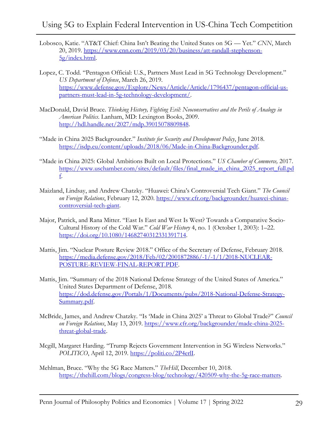- Lobosco, Katie. "AT&T Chief: China Isn't Beating the United States on 5G Yet." *CNN*, March 20, 2019. [https://www.cnn.com/2019/03/20/business/att-randall-stephenson-](https://www.cnn.com/2019/03/20/business/att-randall-stephenson-5g/index.html)[5g/index.html.](https://www.cnn.com/2019/03/20/business/att-randall-stephenson-5g/index.html)
- Lopez, C. Todd. "Pentagon Official: U.S., Partners Must Lead in 5G Technology Development." *US Department of Defense*, March 26, 2019. [https://www.defense.gov/Explore/News/Article/Article/1796437/pentagon-official-us](https://www.defense.gov/Explore/News/Article/Article/1796437/pentagon-official-us-partners-must-lead-in-5g-technology-development/)[partners-must-lead-in-5g-technology-development/.](https://www.defense.gov/Explore/News/Article/Article/1796437/pentagon-official-us-partners-must-lead-in-5g-technology-development/)
- MacDonald, David Bruce. *Thinking History, Fighting Evil: Neoconservatives and the Perils of Analogy in American Politics*. Lanham, MD: Lexington Books, 2009. [http://hdl.handle.net/2027/mdp.39015078809848.](http://hdl.handle.net/2027/mdp.39015078809848)
- "Made in China 2025 Backgrounder." *Institute for Security and Development Policy*, June 2018. [https://isdp.eu/content/uploads/2018/06/Made-in-China-Backgrounder.pdf.](https://isdp.eu/content/uploads/2018/06/Made-in-China-Backgrounder.pdf)
- "Made in China 2025: Global Ambitions Built on Local Protections." *US Chamber of Commerce,* 2017. [https://www.uschamber.com/sites/default/files/final\\_made\\_in\\_china\\_2025\\_report\\_full.pd](https://www.uschamber.com/sites/default/files/final_made_in_china_2025_report_full.pdf) [f.](https://www.uschamber.com/sites/default/files/final_made_in_china_2025_report_full.pdf)
- Maizland, Lindsay, and Andrew Chatzky. "Huawei: China's Controversial Tech Giant." *The Council on Foreign Relations*, February 12, 2020. [https://www.cfr.org/backgrounder/huawei-chinas](https://www.cfr.org/backgrounder/huawei-chinas-controversial-tech-giant)[controversial-tech-giant.](https://www.cfr.org/backgrounder/huawei-chinas-controversial-tech-giant)
- Major, Patrick, and Rana Mitter. "East Is East and West Is West? Towards a Comparative Socio-Cultural History of the Cold War." *Cold War History* 4, no. 1 (October 1, 2003): 1–22. [https://doi.org/10.1080/14682740312331391714.](https://doi.org/10.1080/14682740312331391714)
- Mattis, Jim. "Nuclear Posture Review 2018." Office of the Secretary of Defense, February 2018. [https://media.defense.gov/2018/Feb/02/2001872886/-1/-1/1/2018-NUCLEAR-](https://media.defense.gov/2018/Feb/02/2001872886/-1/-1/1/2018-NUCLEAR-POSTURE-REVIEW-FINAL-REPORT.PDF)[POSTURE-REVIEW-FINAL-REPORT.PDF.](https://media.defense.gov/2018/Feb/02/2001872886/-1/-1/1/2018-NUCLEAR-POSTURE-REVIEW-FINAL-REPORT.PDF)
- Mattis, Jim. "Summary of the 2018 National Defense Strategy of the United States of America." United States Department of Defense, 2018. [https://dod.defense.gov/Portals/1/Documents/pubs/2018-National-Defense-Strategy-](https://dod.defense.gov/Portals/1/Documents/pubs/2018-National-Defense-Strategy-Summary.pdf)[Summary.pdf.](https://dod.defense.gov/Portals/1/Documents/pubs/2018-National-Defense-Strategy-Summary.pdf)
- McBride, James, and Andrew Chatzky. "Is 'Made in China 2025' a Threat to Global Trade?" *Council on Foreign Relations*, May 13, 2019. [https://www.cfr.org/backgrounder/made-china-2025](https://www.cfr.org/backgrounder/made-china-2025-threat-global-trade) [threat-global-trade.](https://www.cfr.org/backgrounder/made-china-2025-threat-global-trade)
- Mcgill, Margaret Harding. "Trump Rejects Government Intervention in 5G Wireless Networks." *POLITICO*, April 12, 2019. [https://politi.co/2P4erlI.](https://politi.co/2P4erlI)
- Mehlman, Bruce. "Why the 5G Race Matters." *TheHill*, December 10, 2018. [https://thehill.com/blogs/congress-blog/technology/420509-why-the-5g-race-matters.](https://thehill.com/blogs/congress-blog/technology/420509-why-the-5g-race-matters)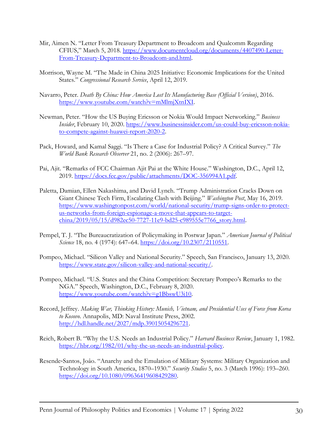- Mir, Aimen N. "Letter From Treasury Department to Broadcom and Qualcomm Regarding CFIUS," March 5, 2018. [https://www.documentcloud.org/documents/4407490-Letter-](https://www.documentcloud.org/documents/4407490-Letter-From-Treasury-Department-to-Broadcom-and.html)[From-Treasury-Department-to-Broadcom-and.html.](https://www.documentcloud.org/documents/4407490-Letter-From-Treasury-Department-to-Broadcom-and.html)
- Morrison, Wayne M. "The Made in China 2025 Initiative: Economic Implications for the United States." *Congressional Research Service*, April 12, 2019.
- Navarro, Peter. *Death By China: How America Lost Its Manufacturing Base (Official Version)*, 2016. [https://www.youtube.com/watch?v=mMlmjXtnIXI.](https://www.youtube.com/watch?v=mMlmjXtnIXI)
- Newman, Peter. "How the US Buying Ericsson or Nokia Would Impact Networking." *Business Insider*, February 10, 2020. [https://www.businessinsider.com/us-could-buy-ericsson-nokia](https://www.businessinsider.com/us-could-buy-ericsson-nokia-to-compete-against-huawei-report-2020-2)[to-compete-against-huawei-report-2020-2.](https://www.businessinsider.com/us-could-buy-ericsson-nokia-to-compete-against-huawei-report-2020-2)
- Pack, Howard, and Kamal Saggi. "Is There a Case for Industrial Policy? A Critical Survey." *The World Bank Research Observer* 21, no. 2 (2006): 267–97.
- Pai, Ajit. "Remarks of FCC Chairman Ajit Pai at the White House." Washington, D.C., April 12, 2019. [https://docs.fcc.gov/public/attachments/DOC-356994A1.pdf.](https://docs.fcc.gov/public/attachments/DOC-356994A1.pdf)
- Paletta, Damian, Ellen Nakashima, and David Lynch. "Trump Administration Cracks Down on Giant Chinese Tech Firm, Escalating Clash with Beijing." *Washington Post*, May 16, 2019. [https://www.washingtonpost.com/world/national-security/trump-signs-order-to-protect](https://www.washingtonpost.com/world/national-security/trump-signs-order-to-protect-us-networks-from-foreign-espionage-a-move-that-appears-to-target-china/2019/05/15/d982ec50-7727-11e9-bd25-c989555e7766_story.html)[us-networks-from-foreign-espionage-a-move-that-appears-to-target](https://www.washingtonpost.com/world/national-security/trump-signs-order-to-protect-us-networks-from-foreign-espionage-a-move-that-appears-to-target-china/2019/05/15/d982ec50-7727-11e9-bd25-c989555e7766_story.html)[china/2019/05/15/d982ec50-7727-11e9-bd25-c989555e7766\\_story.html.](https://www.washingtonpost.com/world/national-security/trump-signs-order-to-protect-us-networks-from-foreign-espionage-a-move-that-appears-to-target-china/2019/05/15/d982ec50-7727-11e9-bd25-c989555e7766_story.html)
- Pempel, T. J. "The Bureaucratization of Policymaking in Postwar Japan." *American Journal of Political Science* 18, no. 4 (1974): 647–64. [https://doi.org/10.2307/2110551.](https://doi.org/10.2307/2110551)
- Pompeo, Michael. "Silicon Valley and National Security." Speech, San Francisco, January 13, 2020. [https://www.state.gov/silicon-valley-and-national-security/.](https://www.state.gov/silicon-valley-and-national-security/)
- Pompeo, Michael. "U.S. States and the China Competition: Secretary Pompeo's Remarks to the NGA." Speech, Washington, D.C., February 8, 2020. [https://www.youtube.com/watch?v=g1BbswU3i10.](https://www.youtube.com/watch?v=g1BbswU3i10)
- Record, Jeffrey. *Making War, Thinking History: Munich, Vietnam, and Presidential Uses of Force from Korea to Kosovo*. Annapolis, MD: Naval Institute Press, 2002. [http://hdl.handle.net/2027/mdp.39015054296721.](http://hdl.handle.net/2027/mdp.39015054296721)
- Reich, Robert B. "Why the U.S. Needs an Industrial Policy." *Harvard Business Review*, January 1, 1982. [https://hbr.org/1982/01/why-the-us-needs-an-industrial-policy.](https://hbr.org/1982/01/why-the-us-needs-an-industrial-policy)
- Resende‐Santos, Joâo. "Anarchy and the Emulation of Military Systems: Military Organization and Technology in South America, 1870–1930." *Security Studies* 5, no. 3 (March 1996): 193–260. [https://doi.org/10.1080/09636419608429280.](https://doi.org/10.1080/09636419608429280)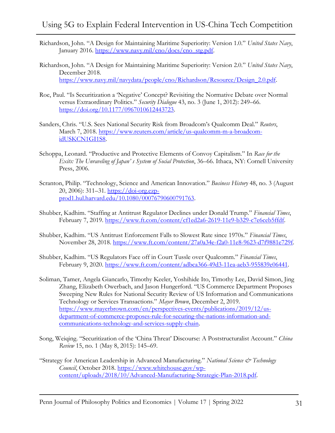- Richardson, John. "A Design for Maintaining Maritime Superiority: Version 1.0." *United States Navy*, January 2016. [https://www.navy.mil/cno/docs/cno\\_stg.pdf.](https://www.navy.mil/cno/docs/cno_stg.pdf)
- Richardson, John. "A Design for Maintaining Maritime Superiority: Version 2.0." *United States Navy*, December 2018. [https://www.navy.mil/navydata/people/cno/Richardson/Resource/Design\\_2.0.pdf.](https://www.navy.mil/navydata/people/cno/Richardson/Resource/Design_2.0.pdf)
- Roe, Paul. "Is Securitization a 'Negative' Concept? Revisiting the Normative Debate over Normal versus Extraordinary Politics." *Security Dialogue* 43, no. 3 (June 1, 2012): 249–66. [https://doi.org/10.1177/0967010612443723.](https://doi.org/10.1177/0967010612443723)
- Sanders, Chris. "U.S. Sees National Security Risk from Broadcom's Qualcomm Deal." *Reuters*, March 7, 2018. [https://www.reuters.com/article/us-qualcomm-m-a-broadcom](https://www.reuters.com/article/us-qualcomm-m-a-broadcom-idUSKCN1GI1S8)[idUSKCN1GI1S8.](https://www.reuters.com/article/us-qualcomm-m-a-broadcom-idUSKCN1GI1S8)
- Schoppa, Leonard. "Productive and Protective Elements of Convoy Capitalism." In *Race for the Exits: The Unraveling of Japan' s System of Social Protection*, 36–66. Ithaca, NY: Cornell University Press, 2006.
- Scranton, Philip. "Technology, Science and American Innovation." *Business History* 48, no. 3 (August 20, 2006): 311–31. [https://doi-org.ezp](https://doi-org.ezp-prod1.hul.harvard.edu/10.1080/00076790600791763)[prod1.hul.harvard.edu/10.1080/00076790600791763.](https://doi-org.ezp-prod1.hul.harvard.edu/10.1080/00076790600791763)
- Shubber, Kadhim. "Staffing at Antitrust Regulator Declines under Donald Trump." *Financial Times*, February 7, 2019. [https://www.ft.com/content/cf1ed2a6-2619-11e9-b329-c7e6ceb5ffdf.](https://www.ft.com/content/cf1ed2a6-2619-11e9-b329-c7e6ceb5ffdf)
- Shubber, Kadhim. "US Antitrust Enforcement Falls to Slowest Rate since 1970s." *Financial Times*, November 28, 2018. [https://www.ft.com/content/27a0a34e-f2a0-11e8-9623-d7f9881e729f.](https://www.ft.com/content/27a0a34e-f2a0-11e8-9623-d7f9881e729f)
- Shubber, Kadhim. "US Regulators Face off in Court Tussle over Qualcomm." *Financial Times*, February 9, 2020. [https://www.ft.com/content/adbca366-49d3-11ea-aeb3-955839e06441.](https://www.ft.com/content/adbca366-49d3-11ea-aeb3-955839e06441)
- Soliman, Tamer, Angela Giancarlo, Timothy Keeler, Yoshihide Ito, Timothy Lee, David Simon, Jing Zhang, Elizabeth Owerbach, and Jason Hungerford. "US Commerce Department Proposes Sweeping New Rules for National Security Review of US Information and Communications Technology or Services Transactions." *Mayer Brown*, December 2, 2019. [https://www.mayerbrown.com/en/perspectives-events/publications/2019/12/us](https://www.mayerbrown.com/en/perspectives-events/publications/2019/12/us-department-of-commerce-proposes-rule-for-securing-the-nations-information-and-communications-technology-and-services-supply-chain)[department-of-commerce-proposes-rule-for-securing-the-nations-information-and](https://www.mayerbrown.com/en/perspectives-events/publications/2019/12/us-department-of-commerce-proposes-rule-for-securing-the-nations-information-and-communications-technology-and-services-supply-chain)[communications-technology-and-services-supply-chain.](https://www.mayerbrown.com/en/perspectives-events/publications/2019/12/us-department-of-commerce-proposes-rule-for-securing-the-nations-information-and-communications-technology-and-services-supply-chain)
- Song, Weiqing. "Securitization of the 'China Threat' Discourse: A Poststructuralist Account." *China Review* 15, no. 1 (May 8, 2015): 145–69.
- "Strategy for American Leadership in Advanced Manufacturing." *National Science & Technology Council*, October 2018. [https://www.whitehouse.gov/wp](https://www.whitehouse.gov/wp-content/uploads/2018/10/Advanced-Manufacturing-Strategic-Plan-2018.pdf)[content/uploads/2018/10/Advanced-Manufacturing-Strategic-Plan-2018.pdf.](https://www.whitehouse.gov/wp-content/uploads/2018/10/Advanced-Manufacturing-Strategic-Plan-2018.pdf)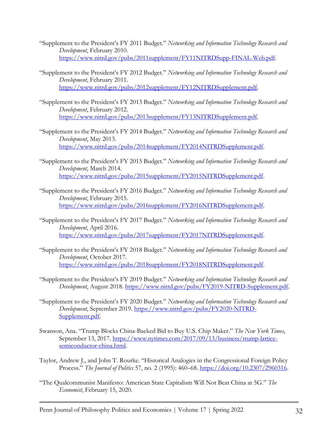- "Supplement to the President's FY 2011 Budget." *Networking and Information Technology Research and Development*, February 2010. [https://www.nitrd.gov/pubs/2011supplement/FY11NITRDSupp-FINAL-Web.pdf.](https://www.nitrd.gov/pubs/2011supplement/FY11NITRDSupp-FINAL-Web.pdf)
- "Supplement to the President's FY 2012 Budget." *Networking and Information Technology Research and Development*, February 2011. [https://www.nitrd.gov/pubs/2012supplement/FY12NITRDSupplement.pdf.](https://www.nitrd.gov/pubs/2012supplement/FY12NITRDSupplement.pdf)
- "Supplement to the President's FY 2013 Budget." *Networking and Information Technology Research and Development*, February 2012. [https://www.nitrd.gov/pubs/2013supplement/FY13NITRDSupplement.pdf.](https://www.nitrd.gov/pubs/2013supplement/FY13NITRDSupplement.pdf)
- "Supplement to the President's FY 2014 Budget." *Networking and Information Technology Research and Development*, May 2013. [https://www.nitrd.gov/pubs/2014supplement/FY2014NITRDSupplement.pdf.](https://www.nitrd.gov/pubs/2014supplement/FY2014NITRDSupplement.pdf)
- "Supplement to the President's FY 2015 Budget." *Networking and Information Technology Research and Development*, March 2014. [https://www.nitrd.gov/pubs/2015supplement/FY2015NITRDSupplement.pdf.](https://www.nitrd.gov/pubs/2015supplement/FY2015NITRDSupplement.pdf)
- "Supplement to the President's FY 2016 Budget." *Networking and Information Technology Research and Development*, February 2015. [https://www.nitrd.gov/pubs/2016supplement/FY2016NITRDSupplement.pdf.](https://www.nitrd.gov/pubs/2016supplement/FY2016NITRDSupplement.pdf)
- "Supplement to the President's FY 2017 Budget." *Networking and Information Technology Research and Development*, April 2016. [https://www.nitrd.gov/pubs/2017supplement/FY2017NITRDSupplement.pdf.](https://www.nitrd.gov/pubs/2017supplement/FY2017NITRDSupplement.pdf)
- "Supplement to the President's FY 2018 Budget." *Networking and Information Technology Research and Development*, October 2017. [https://www.nitrd.gov/pubs/2018supplement/FY2018NITRDSupplement.pdf.](https://www.nitrd.gov/pubs/2018supplement/FY2018NITRDSupplement.pdf)
- "Supplement to the President's FY 2019 Budget." *Networking and Information Technology Research and Development*, August 2018. [https://www.nitrd.gov/pubs/FY2019-NITRD-Supplement.pdf.](https://www.nitrd.gov/pubs/FY2019-NITRD-Supplement.pdf)
- "Supplement to the President's FY 2020 Budget." *Networking and Information Technology Research and Development*, September 2019. [https://www.nitrd.gov/pubs/FY2020-NITRD-](https://www.nitrd.gov/pubs/FY2020-NITRD-Supplement.pdf)[Supplement.pdf.](https://www.nitrd.gov/pubs/FY2020-NITRD-Supplement.pdf)
- Swanson, Ana. "Trump Blocks China-Backed Bid to Buy U.S. Chip Maker." *The New York Times*, September 13, 2017. [https://www.nytimes.com/2017/09/13/business/trump-lattice](https://www.nytimes.com/2017/09/13/business/trump-lattice-semiconductor-china.html)[semiconductor-china.html.](https://www.nytimes.com/2017/09/13/business/trump-lattice-semiconductor-china.html)
- Taylor, Andrew J., and John T. Rourke. "Historical Analogies in the Congressional Foreign Policy Process." *The Journal of Politics* 57, no. 2 (1995): 460–68. [https://doi.org/10.2307/2960316.](https://doi.org/10.2307/2960316)
- "The Qualcommunist Manifesto: American State Capitalism Will Not Beat China at 5G." *The Economist*, February 15, 2020.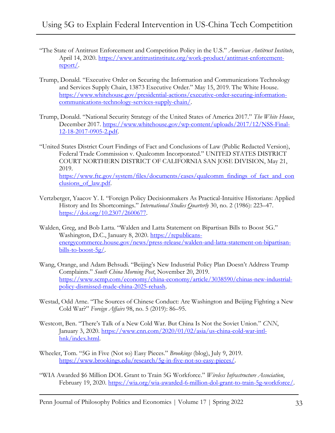- "The State of Antitrust Enforcement and Competition Policy in the U.S." *American Antitrust Institute*, April 14, 2020. [https://www.antitrustinstitute.org/work-product/antitrust-enforcement](https://www.antitrustinstitute.org/work-product/antitrust-enforcement-report/)[report/.](https://www.antitrustinstitute.org/work-product/antitrust-enforcement-report/)
- Trump, Donald. "Executive Order on Securing the Information and Communications Technology and Services Supply Chain, 13873 Executive Order." May 15, 2019. The White House. [https://www.whitehouse.gov/presidential-actions/executive-order-securing-information](https://www.whitehouse.gov/presidential-actions/executive-order-securing-information-communications-technology-services-supply-chain/)[communications-technology-services-supply-chain/.](https://www.whitehouse.gov/presidential-actions/executive-order-securing-information-communications-technology-services-supply-chain/)
- Trump, Donald. "National Security Strategy of the United States of America 2017." *The White House*, December 2017. [https://www.whitehouse.gov/wp-content/uploads/2017/12/NSS-Final-](https://www.whitehouse.gov/wp-content/uploads/2017/12/NSS-Final-12-18-2017-0905-2.pdf)[12-18-2017-0905-2.pdf.](https://www.whitehouse.gov/wp-content/uploads/2017/12/NSS-Final-12-18-2017-0905-2.pdf)

"United States District Court Findings of Fact and Conclusions of Law (Public Redacted Version), Federal Trade Commission v. Qualcomm Incorporated." UNITED STATES DISTRICT COURT NORTHERN DISTRICT OF CALIFORNIA SAN JOSE DIVISION, May 21, 2019. [https://www.ftc.gov/system/files/documents/cases/qualcomm\\_findings\\_of\\_fact\\_and\\_con](https://www.ftc.gov/system/files/documents/cases/qualcomm_findings_of_fact_and_conclusions_of_law.pdf) clusions of law.pdf.

- Vertzberger, Yaacov Y. I. "Foreign Policy Decisionmakers As Practical-Intuitive Historians: Applied History and Its Shortcomings." *International Studies Quarterly* 30, no. 2 (1986): 223–47. [https://doi.org/10.2307/2600677.](https://doi.org/10.2307/2600677)
- Walden, Greg, and Bob Latta. "Walden and Latta Statement on Bipartisan Bills to Boost 5G." Washington, D.C., January 8, 2020. [https://republicans](https://republicans-energycommerce.house.gov/news/press-release/walden-and-latta-statement-on-bipartisan-bills-to-boost-5g/)[energycommerce.house.gov/news/press-release/walden-and-latta-statement-on-bipartisan](https://republicans-energycommerce.house.gov/news/press-release/walden-and-latta-statement-on-bipartisan-bills-to-boost-5g/)[bills-to-boost-5g/.](https://republicans-energycommerce.house.gov/news/press-release/walden-and-latta-statement-on-bipartisan-bills-to-boost-5g/)
- Wang, Orange, and Adam Behsudi. "Beijing's New Industrial Policy Plan Doesn't Address Trump Complaints." *South China Morning Post*, November 20, 2019. [https://www.scmp.com/economy/china-economy/article/3038590/chinas-new-industrial](https://www.scmp.com/economy/china-economy/article/3038590/chinas-new-industrial-policy-dismissed-made-china-2025-rehash)[policy-dismissed-made-china-2025-rehash.](https://www.scmp.com/economy/china-economy/article/3038590/chinas-new-industrial-policy-dismissed-made-china-2025-rehash)
- Westad, Odd Arne. "The Sources of Chinese Conduct: Are Washington and Beijing Fighting a New Cold War?" *Foreign Affairs* 98, no. 5 (2019): 86–95.
- Westcott, Ben. "There's Talk of a New Cold War. But China Is Not the Soviet Union." *CNN*, January 3, 2020. [https://www.cnn.com/2020/01/02/asia/us-china-cold-war-intl](https://www.cnn.com/2020/01/02/asia/us-china-cold-war-intl-hnk/index.html)[hnk/index.html.](https://www.cnn.com/2020/01/02/asia/us-china-cold-war-intl-hnk/index.html)
- Wheeler, Tom. "5G in Five (Not so) Easy Pieces." *Brookings* (blog), July 9, 2019. [https://www.brookings.edu/research/5g-in-five-not-so-easy-pieces/.](https://www.brookings.edu/research/5g-in-five-not-so-easy-pieces/)
- "WIA Awarded \$6 Million DOL Grant to Train 5G Workforce." *Wireless Infrastructure Association*, February 19, 2020. [https://wia.org/wia-awarded-6-million-dol-grant-to-train-5g-workforce/.](https://wia.org/wia-awarded-6-million-dol-grant-to-train-5g-workforce/)